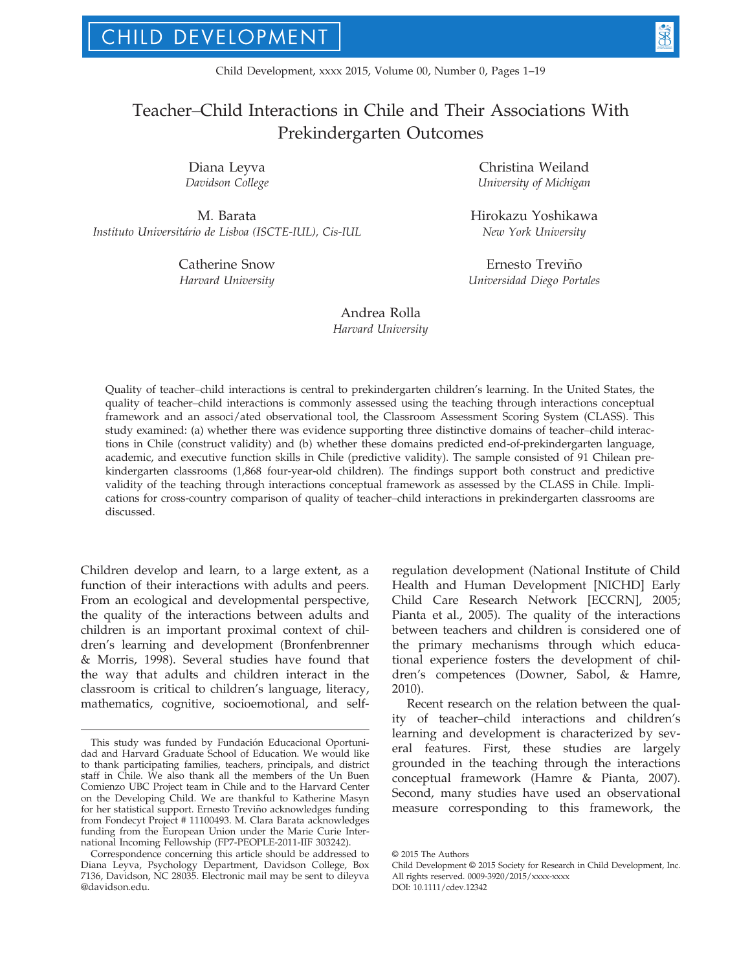# Teacher–Child Interactions in Chile and Their Associations With Prekindergarten Outcomes

Diana Leyva Davidson College

M. Barata Instituto Universitario de Lisboa (ISCTE-IUL), Cis-IUL

> Catherine Snow Harvard University

Christina Weiland University of Michigan

Hirokazu Yoshikawa New York University

Ernesto Trevino~ Universidad Diego Portales

Andrea Rolla Harvard University

Quality of teacher–child interactions is central to prekindergarten children's learning. In the United States, the quality of teacher–child interactions is commonly assessed using the teaching through interactions conceptual framework and an associ/ated observational tool, the Classroom Assessment Scoring System (CLASS). This study examined: (a) whether there was evidence supporting three distinctive domains of teacher–child interactions in Chile (construct validity) and (b) whether these domains predicted end-of-prekindergarten language, academic, and executive function skills in Chile (predictive validity). The sample consisted of 91 Chilean prekindergarten classrooms (1,868 four-year-old children). The findings support both construct and predictive validity of the teaching through interactions conceptual framework as assessed by the CLASS in Chile. Implications for cross-country comparison of quality of teacher–child interactions in prekindergarten classrooms are discussed.

Children develop and learn, to a large extent, as a function of their interactions with adults and peers. From an ecological and developmental perspective, the quality of the interactions between adults and children is an important proximal context of children's learning and development (Bronfenbrenner & Morris, 1998). Several studies have found that the way that adults and children interact in the classroom is critical to children's language, literacy, mathematics, cognitive, socioemotional, and self-

regulation development (National Institute of Child Health and Human Development [NICHD] Early Child Care Research Network [ECCRN], 2005; Pianta et al., 2005). The quality of the interactions between teachers and children is considered one of the primary mechanisms through which educational experience fosters the development of children's competences (Downer, Sabol, & Hamre, 2010).

Recent research on the relation between the quality of teacher–child interactions and children's learning and development is characterized by several features. First, these studies are largely grounded in the teaching through the interactions conceptual framework (Hamre & Pianta, 2007). Second, many studies have used an observational measure corresponding to this framework, the

Child Development © 2015 Society for Research in Child Development, Inc. All rights reserved. 0009-3920/2015/xxxx-xxxx DOI: 10.1111/cdev.12342

This study was funded by Fundación Educacional Oportunidad and Harvard Graduate School of Education. We would like to thank participating families, teachers, principals, and district staff in Chile. We also thank all the members of the Un Buen Comienzo UBC Project team in Chile and to the Harvard Center on the Developing Child. We are thankful to Katherine Masyn for her statistical support. Ernesto Trevino acknowledges funding ~ from Fondecyt Project # 11100493. M. Clara Barata acknowledges funding from the European Union under the Marie Curie International Incoming Fellowship (FP7-PEOPLE-2011-IIF 303242).

Correspondence concerning this article should be addressed to Diana Leyva, Psychology Department, Davidson College, Box 7136, Davidson, NC 28035. Electronic mail may be sent to dileyva @davidson.edu.

<sup>©</sup> 2015 The Authors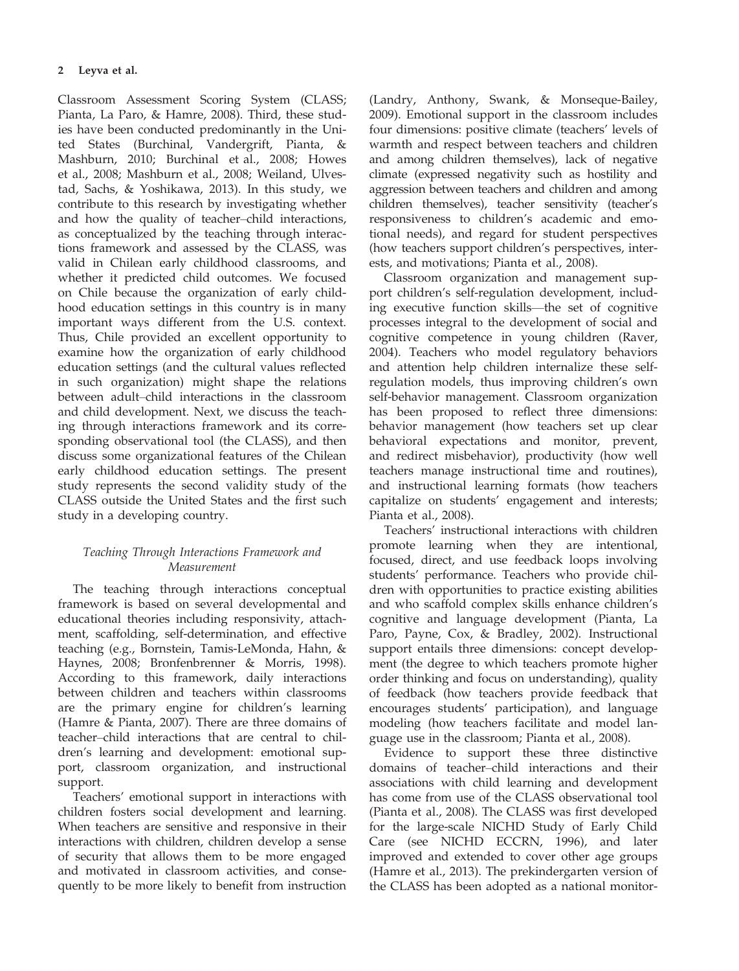Classroom Assessment Scoring System (CLASS; Pianta, La Paro, & Hamre, 2008). Third, these studies have been conducted predominantly in the United States (Burchinal, Vandergrift, Pianta, & Mashburn, 2010; Burchinal et al., 2008; Howes et al., 2008; Mashburn et al., 2008; Weiland, Ulvestad, Sachs, & Yoshikawa, 2013). In this study, we contribute to this research by investigating whether and how the quality of teacher–child interactions, as conceptualized by the teaching through interactions framework and assessed by the CLASS, was valid in Chilean early childhood classrooms, and whether it predicted child outcomes. We focused on Chile because the organization of early childhood education settings in this country is in many important ways different from the U.S. context. Thus, Chile provided an excellent opportunity to examine how the organization of early childhood education settings (and the cultural values reflected in such organization) might shape the relations between adult–child interactions in the classroom and child development. Next, we discuss the teaching through interactions framework and its corresponding observational tool (the CLASS), and then discuss some organizational features of the Chilean early childhood education settings. The present study represents the second validity study of the CLASS outside the United States and the first such study in a developing country.

## Teaching Through Interactions Framework and Measurement

The teaching through interactions conceptual framework is based on several developmental and educational theories including responsivity, attachment, scaffolding, self-determination, and effective teaching (e.g., Bornstein, Tamis-LeMonda, Hahn, & Haynes, 2008; Bronfenbrenner & Morris, 1998). According to this framework, daily interactions between children and teachers within classrooms are the primary engine for children's learning (Hamre & Pianta, 2007). There are three domains of teacher–child interactions that are central to children's learning and development: emotional support, classroom organization, and instructional support.

Teachers' emotional support in interactions with children fosters social development and learning. When teachers are sensitive and responsive in their interactions with children, children develop a sense of security that allows them to be more engaged and motivated in classroom activities, and consequently to be more likely to benefit from instruction (Landry, Anthony, Swank, & Monseque-Bailey, 2009). Emotional support in the classroom includes four dimensions: positive climate (teachers' levels of warmth and respect between teachers and children and among children themselves), lack of negative climate (expressed negativity such as hostility and aggression between teachers and children and among children themselves), teacher sensitivity (teacher's responsiveness to children's academic and emotional needs), and regard for student perspectives (how teachers support children's perspectives, interests, and motivations; Pianta et al., 2008).

Classroom organization and management support children's self-regulation development, including executive function skills—the set of cognitive processes integral to the development of social and cognitive competence in young children (Raver, 2004). Teachers who model regulatory behaviors and attention help children internalize these selfregulation models, thus improving children's own self-behavior management. Classroom organization has been proposed to reflect three dimensions: behavior management (how teachers set up clear behavioral expectations and monitor, prevent, and redirect misbehavior), productivity (how well teachers manage instructional time and routines), and instructional learning formats (how teachers capitalize on students' engagement and interests; Pianta et al., 2008).

Teachers' instructional interactions with children promote learning when they are intentional, focused, direct, and use feedback loops involving students' performance. Teachers who provide children with opportunities to practice existing abilities and who scaffold complex skills enhance children's cognitive and language development (Pianta, La Paro, Payne, Cox, & Bradley, 2002). Instructional support entails three dimensions: concept development (the degree to which teachers promote higher order thinking and focus on understanding), quality of feedback (how teachers provide feedback that encourages students' participation), and language modeling (how teachers facilitate and model language use in the classroom; Pianta et al., 2008).

Evidence to support these three distinctive domains of teacher–child interactions and their associations with child learning and development has come from use of the CLASS observational tool (Pianta et al., 2008). The CLASS was first developed for the large-scale NICHD Study of Early Child Care (see NICHD ECCRN, 1996), and later improved and extended to cover other age groups (Hamre et al., 2013). The prekindergarten version of the CLASS has been adopted as a national monitor-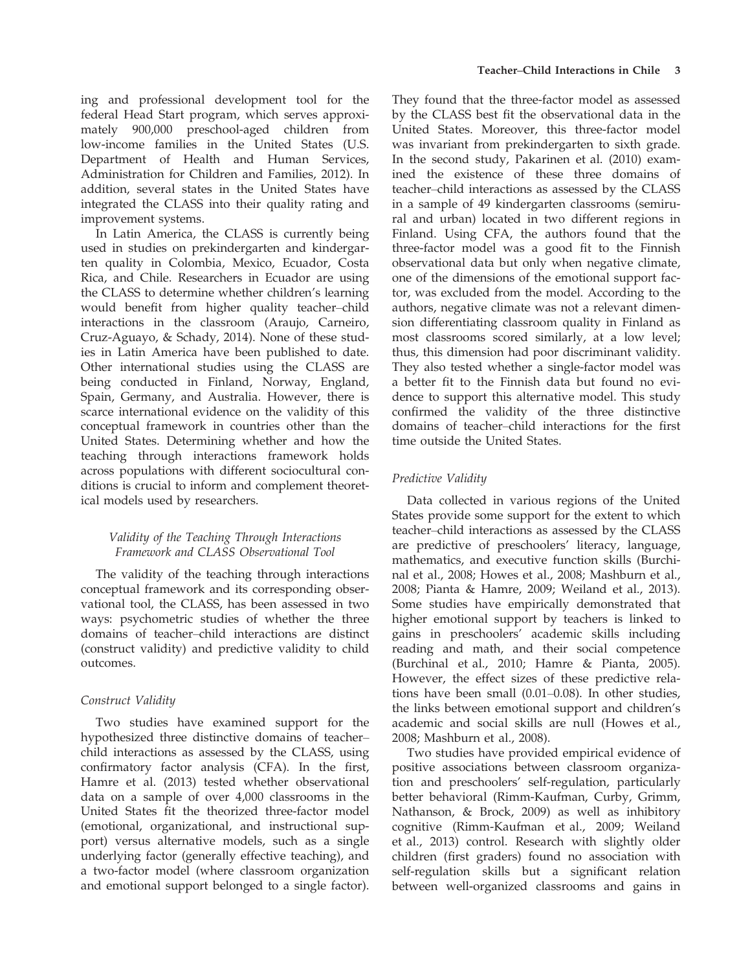ing and professional development tool for the federal Head Start program, which serves approximately 900,000 preschool-aged children from low-income families in the United States (U.S. Department of Health and Human Services, Administration for Children and Families, 2012). In addition, several states in the United States have integrated the CLASS into their quality rating and improvement systems.

In Latin America, the CLASS is currently being used in studies on prekindergarten and kindergarten quality in Colombia, Mexico, Ecuador, Costa Rica, and Chile. Researchers in Ecuador are using the CLASS to determine whether children's learning would benefit from higher quality teacher–child interactions in the classroom (Araujo, Carneiro, Cruz-Aguayo, & Schady, 2014). None of these studies in Latin America have been published to date. Other international studies using the CLASS are being conducted in Finland, Norway, England, Spain, Germany, and Australia. However, there is scarce international evidence on the validity of this conceptual framework in countries other than the United States. Determining whether and how the teaching through interactions framework holds across populations with different sociocultural conditions is crucial to inform and complement theoretical models used by researchers.

## Validity of the Teaching Through Interactions Framework and CLASS Observational Tool

The validity of the teaching through interactions conceptual framework and its corresponding observational tool, the CLASS, has been assessed in two ways: psychometric studies of whether the three domains of teacher–child interactions are distinct (construct validity) and predictive validity to child outcomes.

## Construct Validity

Two studies have examined support for the hypothesized three distinctive domains of teacher– child interactions as assessed by the CLASS, using confirmatory factor analysis (CFA). In the first, Hamre et al. (2013) tested whether observational data on a sample of over 4,000 classrooms in the United States fit the theorized three-factor model (emotional, organizational, and instructional support) versus alternative models, such as a single underlying factor (generally effective teaching), and a two-factor model (where classroom organization and emotional support belonged to a single factor).

They found that the three-factor model as assessed by the CLASS best fit the observational data in the United States. Moreover, this three-factor model was invariant from prekindergarten to sixth grade. In the second study, Pakarinen et al. (2010) examined the existence of these three domains of teacher–child interactions as assessed by the CLASS in a sample of 49 kindergarten classrooms (semirural and urban) located in two different regions in Finland. Using CFA, the authors found that the three-factor model was a good fit to the Finnish observational data but only when negative climate, one of the dimensions of the emotional support factor, was excluded from the model. According to the authors, negative climate was not a relevant dimension differentiating classroom quality in Finland as most classrooms scored similarly, at a low level; thus, this dimension had poor discriminant validity. They also tested whether a single-factor model was a better fit to the Finnish data but found no evidence to support this alternative model. This study confirmed the validity of the three distinctive domains of teacher–child interactions for the first time outside the United States.

## Predictive Validity

Data collected in various regions of the United States provide some support for the extent to which teacher–child interactions as assessed by the CLASS are predictive of preschoolers' literacy, language, mathematics, and executive function skills (Burchinal et al., 2008; Howes et al., 2008; Mashburn et al., 2008; Pianta & Hamre, 2009; Weiland et al., 2013). Some studies have empirically demonstrated that higher emotional support by teachers is linked to gains in preschoolers' academic skills including reading and math, and their social competence (Burchinal et al., 2010; Hamre & Pianta, 2005). However, the effect sizes of these predictive relations have been small (0.01–0.08). In other studies, the links between emotional support and children's academic and social skills are null (Howes et al., 2008; Mashburn et al., 2008).

Two studies have provided empirical evidence of positive associations between classroom organization and preschoolers' self-regulation, particularly better behavioral (Rimm-Kaufman, Curby, Grimm, Nathanson, & Brock, 2009) as well as inhibitory cognitive (Rimm-Kaufman et al., 2009; Weiland et al., 2013) control. Research with slightly older children (first graders) found no association with self-regulation skills but a significant relation between well-organized classrooms and gains in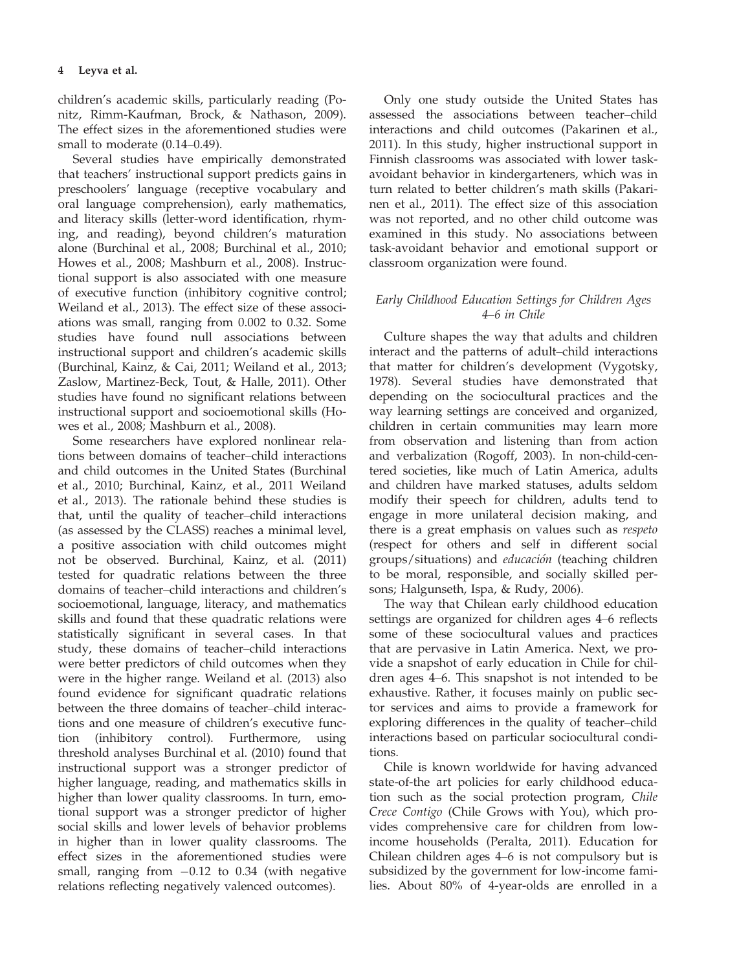children's academic skills, particularly reading (Ponitz, Rimm-Kaufman, Brock, & Nathason, 2009). The effect sizes in the aforementioned studies were small to moderate (0.14–0.49).

Several studies have empirically demonstrated that teachers' instructional support predicts gains in preschoolers' language (receptive vocabulary and oral language comprehension), early mathematics, and literacy skills (letter-word identification, rhyming, and reading), beyond children's maturation alone (Burchinal et al., 2008; Burchinal et al., 2010; Howes et al., 2008; Mashburn et al., 2008). Instructional support is also associated with one measure of executive function (inhibitory cognitive control; Weiland et al., 2013). The effect size of these associations was small, ranging from 0.002 to 0.32. Some studies have found null associations between instructional support and children's academic skills (Burchinal, Kainz, & Cai, 2011; Weiland et al., 2013; Zaslow, Martinez-Beck, Tout, & Halle, 2011). Other studies have found no significant relations between instructional support and socioemotional skills (Howes et al., 2008; Mashburn et al., 2008).

Some researchers have explored nonlinear relations between domains of teacher–child interactions and child outcomes in the United States (Burchinal et al., 2010; Burchinal, Kainz, et al., 2011 Weiland et al., 2013). The rationale behind these studies is that, until the quality of teacher–child interactions (as assessed by the CLASS) reaches a minimal level, a positive association with child outcomes might not be observed. Burchinal, Kainz, et al. (2011) tested for quadratic relations between the three domains of teacher–child interactions and children's socioemotional, language, literacy, and mathematics skills and found that these quadratic relations were statistically significant in several cases. In that study, these domains of teacher–child interactions were better predictors of child outcomes when they were in the higher range. Weiland et al. (2013) also found evidence for significant quadratic relations between the three domains of teacher–child interactions and one measure of children's executive function (inhibitory control). Furthermore, using threshold analyses Burchinal et al. (2010) found that instructional support was a stronger predictor of higher language, reading, and mathematics skills in higher than lower quality classrooms. In turn, emotional support was a stronger predictor of higher social skills and lower levels of behavior problems in higher than in lower quality classrooms. The effect sizes in the aforementioned studies were small, ranging from  $-0.12$  to 0.34 (with negative relations reflecting negatively valenced outcomes).

Only one study outside the United States has assessed the associations between teacher–child interactions and child outcomes (Pakarinen et al., 2011). In this study, higher instructional support in Finnish classrooms was associated with lower taskavoidant behavior in kindergarteners, which was in turn related to better children's math skills (Pakarinen et al., 2011). The effect size of this association was not reported, and no other child outcome was examined in this study. No associations between task-avoidant behavior and emotional support or classroom organization were found.

## Early Childhood Education Settings for Children Ages 4–6 in Chile

Culture shapes the way that adults and children interact and the patterns of adult–child interactions that matter for children's development (Vygotsky, 1978). Several studies have demonstrated that depending on the sociocultural practices and the way learning settings are conceived and organized, children in certain communities may learn more from observation and listening than from action and verbalization (Rogoff, 2003). In non-child-centered societies, like much of Latin America, adults and children have marked statuses, adults seldom modify their speech for children, adults tend to engage in more unilateral decision making, and there is a great emphasis on values such as respeto (respect for others and self in different social groups/situations) and educación (teaching children to be moral, responsible, and socially skilled persons; Halgunseth, Ispa, & Rudy, 2006).

The way that Chilean early childhood education settings are organized for children ages 4–6 reflects some of these sociocultural values and practices that are pervasive in Latin America. Next, we provide a snapshot of early education in Chile for children ages 4–6. This snapshot is not intended to be exhaustive. Rather, it focuses mainly on public sector services and aims to provide a framework for exploring differences in the quality of teacher–child interactions based on particular sociocultural conditions.

Chile is known worldwide for having advanced state-of-the art policies for early childhood education such as the social protection program, Chile Crece Contigo (Chile Grows with You), which provides comprehensive care for children from lowincome households (Peralta, 2011). Education for Chilean children ages 4–6 is not compulsory but is subsidized by the government for low-income families. About 80% of 4-year-olds are enrolled in a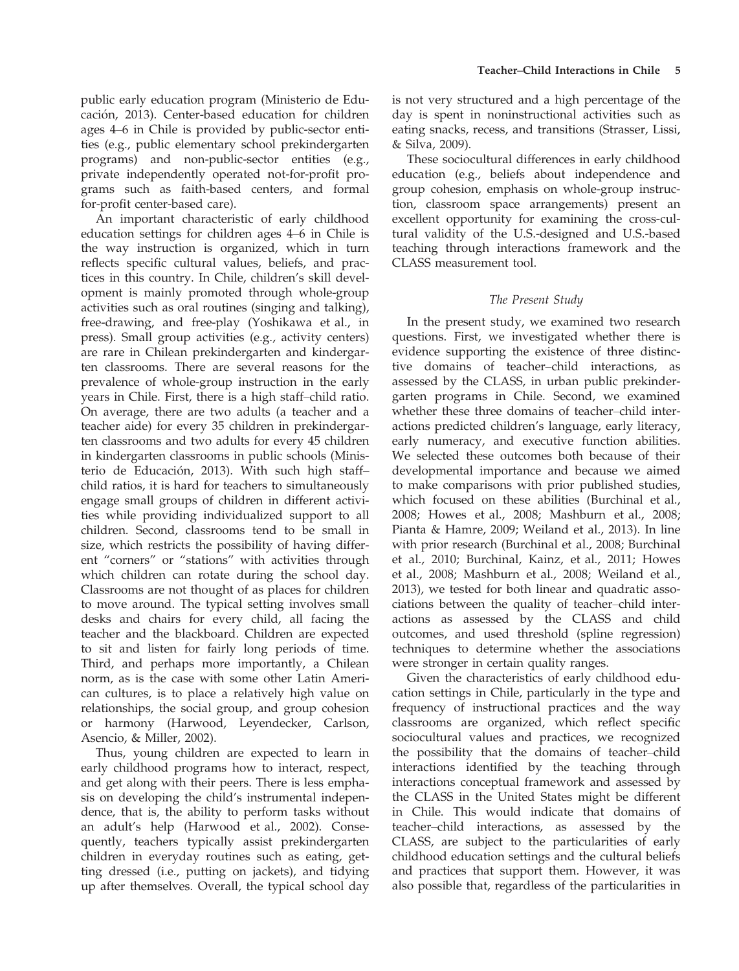public early education program (Ministerio de Educación, 2013). Center-based education for children ages 4–6 in Chile is provided by public-sector entities (e.g., public elementary school prekindergarten programs) and non-public-sector entities (e.g., private independently operated not-for-profit programs such as faith-based centers, and formal for-profit center-based care).

An important characteristic of early childhood education settings for children ages 4–6 in Chile is the way instruction is organized, which in turn reflects specific cultural values, beliefs, and practices in this country. In Chile, children's skill development is mainly promoted through whole-group activities such as oral routines (singing and talking), free-drawing, and free-play (Yoshikawa et al., in press). Small group activities (e.g., activity centers) are rare in Chilean prekindergarten and kindergarten classrooms. There are several reasons for the prevalence of whole-group instruction in the early years in Chile. First, there is a high staff–child ratio. On average, there are two adults (a teacher and a teacher aide) for every 35 children in prekindergarten classrooms and two adults for every 45 children in kindergarten classrooms in public schools (Ministerio de Educación, 2013). With such high staffchild ratios, it is hard for teachers to simultaneously engage small groups of children in different activities while providing individualized support to all children. Second, classrooms tend to be small in size, which restricts the possibility of having different "corners" or "stations" with activities through which children can rotate during the school day. Classrooms are not thought of as places for children to move around. The typical setting involves small desks and chairs for every child, all facing the teacher and the blackboard. Children are expected to sit and listen for fairly long periods of time. Third, and perhaps more importantly, a Chilean norm, as is the case with some other Latin American cultures, is to place a relatively high value on relationships, the social group, and group cohesion or harmony (Harwood, Leyendecker, Carlson, Asencio, & Miller, 2002).

Thus, young children are expected to learn in early childhood programs how to interact, respect, and get along with their peers. There is less emphasis on developing the child's instrumental independence, that is, the ability to perform tasks without an adult's help (Harwood et al., 2002). Consequently, teachers typically assist prekindergarten children in everyday routines such as eating, getting dressed (i.e., putting on jackets), and tidying up after themselves. Overall, the typical school day

is not very structured and a high percentage of the day is spent in noninstructional activities such as eating snacks, recess, and transitions (Strasser, Lissi, & Silva, 2009).

These sociocultural differences in early childhood education (e.g., beliefs about independence and group cohesion, emphasis on whole-group instruction, classroom space arrangements) present an excellent opportunity for examining the cross-cultural validity of the U.S.-designed and U.S.-based teaching through interactions framework and the CLASS measurement tool.

#### The Present Study

In the present study, we examined two research questions. First, we investigated whether there is evidence supporting the existence of three distinctive domains of teacher–child interactions, as assessed by the CLASS, in urban public prekindergarten programs in Chile. Second, we examined whether these three domains of teacher–child interactions predicted children's language, early literacy, early numeracy, and executive function abilities. We selected these outcomes both because of their developmental importance and because we aimed to make comparisons with prior published studies, which focused on these abilities (Burchinal et al., 2008; Howes et al., 2008; Mashburn et al., 2008; Pianta & Hamre, 2009; Weiland et al., 2013). In line with prior research (Burchinal et al., 2008; Burchinal et al., 2010; Burchinal, Kainz, et al., 2011; Howes et al., 2008; Mashburn et al., 2008; Weiland et al., 2013), we tested for both linear and quadratic associations between the quality of teacher–child interactions as assessed by the CLASS and child outcomes, and used threshold (spline regression) techniques to determine whether the associations were stronger in certain quality ranges.

Given the characteristics of early childhood education settings in Chile, particularly in the type and frequency of instructional practices and the way classrooms are organized, which reflect specific sociocultural values and practices, we recognized the possibility that the domains of teacher–child interactions identified by the teaching through interactions conceptual framework and assessed by the CLASS in the United States might be different in Chile. This would indicate that domains of teacher–child interactions, as assessed by the CLASS, are subject to the particularities of early childhood education settings and the cultural beliefs and practices that support them. However, it was also possible that, regardless of the particularities in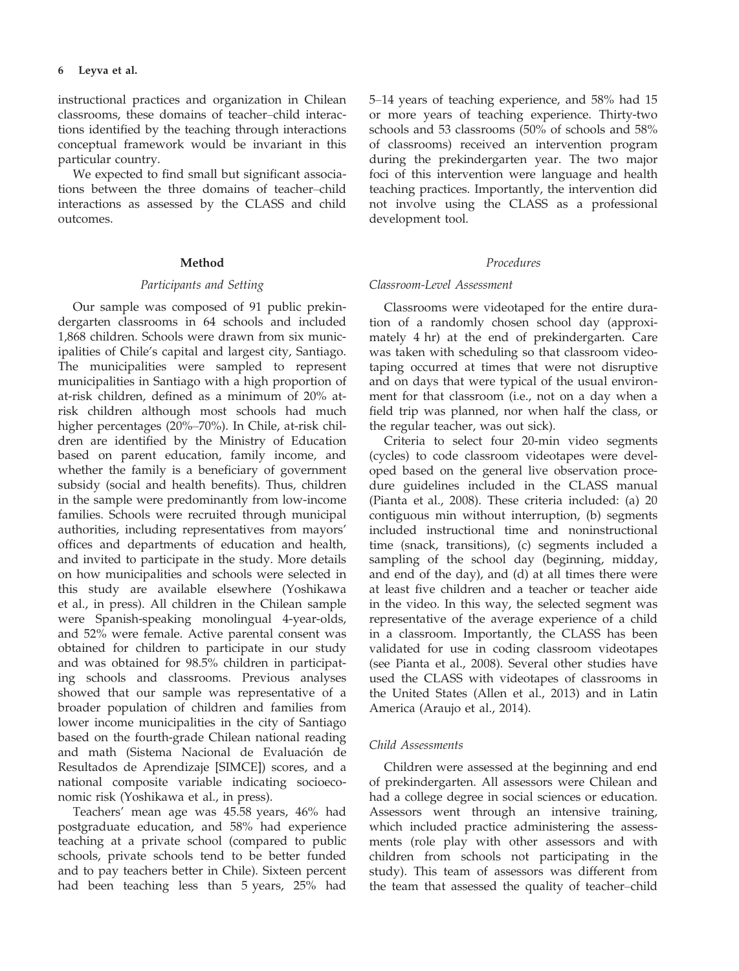instructional practices and organization in Chilean classrooms, these domains of teacher–child interactions identified by the teaching through interactions conceptual framework would be invariant in this particular country.

We expected to find small but significant associations between the three domains of teacher–child interactions as assessed by the CLASS and child outcomes.

#### Method

#### Participants and Setting

Our sample was composed of 91 public prekindergarten classrooms in 64 schools and included 1,868 children. Schools were drawn from six municipalities of Chile's capital and largest city, Santiago. The municipalities were sampled to represent municipalities in Santiago with a high proportion of at-risk children, defined as a minimum of 20% atrisk children although most schools had much higher percentages (20%–70%). In Chile, at-risk children are identified by the Ministry of Education based on parent education, family income, and whether the family is a beneficiary of government subsidy (social and health benefits). Thus, children in the sample were predominantly from low-income families. Schools were recruited through municipal authorities, including representatives from mayors' offices and departments of education and health, and invited to participate in the study. More details on how municipalities and schools were selected in this study are available elsewhere (Yoshikawa et al., in press). All children in the Chilean sample were Spanish-speaking monolingual 4-year-olds, and 52% were female. Active parental consent was obtained for children to participate in our study and was obtained for 98.5% children in participating schools and classrooms. Previous analyses showed that our sample was representative of a broader population of children and families from lower income municipalities in the city of Santiago based on the fourth-grade Chilean national reading and math (Sistema Nacional de Evaluación de Resultados de Aprendizaje [SIMCE]) scores, and a national composite variable indicating socioeconomic risk (Yoshikawa et al., in press).

Teachers' mean age was 45.58 years, 46% had postgraduate education, and 58% had experience teaching at a private school (compared to public schools, private schools tend to be better funded and to pay teachers better in Chile). Sixteen percent had been teaching less than 5 years, 25% had

5–14 years of teaching experience, and 58% had 15 or more years of teaching experience. Thirty-two schools and 53 classrooms (50% of schools and 58% of classrooms) received an intervention program during the prekindergarten year. The two major foci of this intervention were language and health teaching practices. Importantly, the intervention did not involve using the CLASS as a professional development tool.

#### Procedures

#### Classroom-Level Assessment

Classrooms were videotaped for the entire duration of a randomly chosen school day (approximately 4 hr) at the end of prekindergarten. Care was taken with scheduling so that classroom videotaping occurred at times that were not disruptive and on days that were typical of the usual environment for that classroom (i.e., not on a day when a field trip was planned, nor when half the class, or the regular teacher, was out sick).

Criteria to select four 20-min video segments (cycles) to code classroom videotapes were developed based on the general live observation procedure guidelines included in the CLASS manual (Pianta et al., 2008). These criteria included: (a) 20 contiguous min without interruption, (b) segments included instructional time and noninstructional time (snack, transitions), (c) segments included a sampling of the school day (beginning, midday, and end of the day), and (d) at all times there were at least five children and a teacher or teacher aide in the video. In this way, the selected segment was representative of the average experience of a child in a classroom. Importantly, the CLASS has been validated for use in coding classroom videotapes (see Pianta et al., 2008). Several other studies have used the CLASS with videotapes of classrooms in the United States (Allen et al., 2013) and in Latin America (Araujo et al., 2014).

## Child Assessments

Children were assessed at the beginning and end of prekindergarten. All assessors were Chilean and had a college degree in social sciences or education. Assessors went through an intensive training, which included practice administering the assessments (role play with other assessors and with children from schools not participating in the study). This team of assessors was different from the team that assessed the quality of teacher–child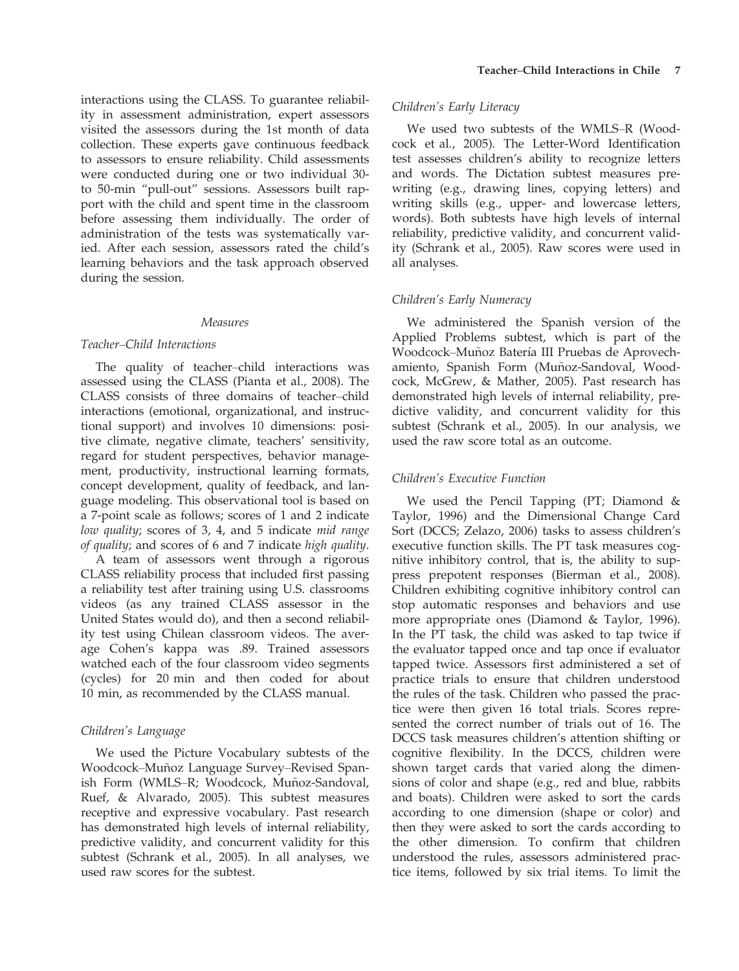interactions using the CLASS. To guarantee reliability in assessment administration, expert assessors visited the assessors during the 1st month of data collection. These experts gave continuous feedback to assessors to ensure reliability. Child assessments were conducted during one or two individual 30 to 50-min "pull-out" sessions. Assessors built rapport with the child and spent time in the classroom before assessing them individually. The order of administration of the tests was systematically varied. After each session, assessors rated the child's learning behaviors and the task approach observed during the session.

#### Measures

## Teacher–Child Interactions

The quality of teacher–child interactions was assessed using the CLASS (Pianta et al., 2008). The CLASS consists of three domains of teacher–child interactions (emotional, organizational, and instructional support) and involves 10 dimensions: positive climate, negative climate, teachers' sensitivity, regard for student perspectives, behavior management, productivity, instructional learning formats, concept development, quality of feedback, and language modeling. This observational tool is based on a 7-point scale as follows; scores of 1 and 2 indicate low quality; scores of 3, 4, and 5 indicate mid range of quality; and scores of 6 and 7 indicate high quality.

A team of assessors went through a rigorous CLASS reliability process that included first passing a reliability test after training using U.S. classrooms videos (as any trained CLASS assessor in the United States would do), and then a second reliability test using Chilean classroom videos. The average Cohen's kappa was .89. Trained assessors watched each of the four classroom video segments (cycles) for 20 min and then coded for about 10 min, as recommended by the CLASS manual.

#### Children's Language

We used the Picture Vocabulary subtests of the Woodcock–Muñoz Language Survey–Revised Spanish Form (WMLS-R; Woodcock, Muñoz-Sandoval, Ruef, & Alvarado, 2005). This subtest measures receptive and expressive vocabulary. Past research has demonstrated high levels of internal reliability, predictive validity, and concurrent validity for this subtest (Schrank et al., 2005). In all analyses, we used raw scores for the subtest.

### Children's Early Literacy

We used two subtests of the WMLS–R (Woodcock et al., 2005). The Letter-Word Identification test assesses children's ability to recognize letters and words. The Dictation subtest measures prewriting (e.g., drawing lines, copying letters) and writing skills (e.g., upper- and lowercase letters, words). Both subtests have high levels of internal reliability, predictive validity, and concurrent validity (Schrank et al., 2005). Raw scores were used in all analyses.

#### Children's Early Numeracy

We administered the Spanish version of the Applied Problems subtest, which is part of the Woodcock–Muñoz Batería III Pruebas de Aprovechamiento, Spanish Form (Muñoz-Sandoval, Woodcock, McGrew, & Mather, 2005). Past research has demonstrated high levels of internal reliability, predictive validity, and concurrent validity for this subtest (Schrank et al., 2005). In our analysis, we used the raw score total as an outcome.

#### Children's Executive Function

We used the Pencil Tapping (PT; Diamond & Taylor, 1996) and the Dimensional Change Card Sort (DCCS; Zelazo, 2006) tasks to assess children's executive function skills. The PT task measures cognitive inhibitory control, that is, the ability to suppress prepotent responses (Bierman et al., 2008). Children exhibiting cognitive inhibitory control can stop automatic responses and behaviors and use more appropriate ones (Diamond & Taylor, 1996). In the PT task, the child was asked to tap twice if the evaluator tapped once and tap once if evaluator tapped twice. Assessors first administered a set of practice trials to ensure that children understood the rules of the task. Children who passed the practice were then given 16 total trials. Scores represented the correct number of trials out of 16. The DCCS task measures children's attention shifting or cognitive flexibility. In the DCCS, children were shown target cards that varied along the dimensions of color and shape (e.g., red and blue, rabbits and boats). Children were asked to sort the cards according to one dimension (shape or color) and then they were asked to sort the cards according to the other dimension. To confirm that children understood the rules, assessors administered practice items, followed by six trial items. To limit the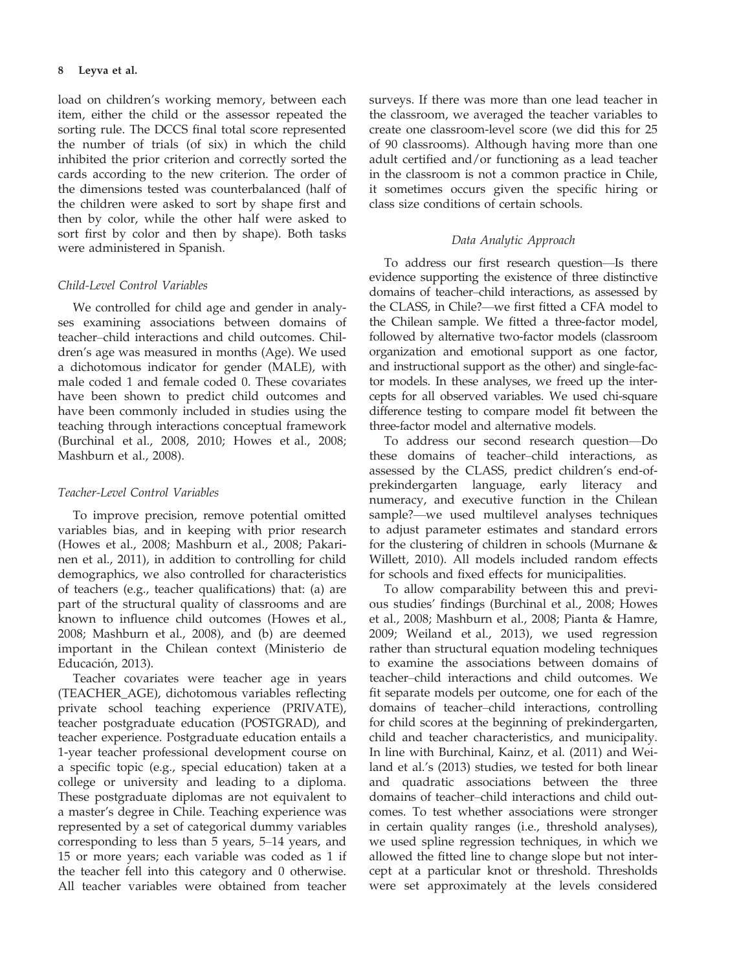load on children's working memory, between each item, either the child or the assessor repeated the sorting rule. The DCCS final total score represented the number of trials (of six) in which the child inhibited the prior criterion and correctly sorted the cards according to the new criterion. The order of the dimensions tested was counterbalanced (half of the children were asked to sort by shape first and then by color, while the other half were asked to sort first by color and then by shape). Both tasks were administered in Spanish.

## Child-Level Control Variables

We controlled for child age and gender in analyses examining associations between domains of teacher–child interactions and child outcomes. Children's age was measured in months (Age). We used a dichotomous indicator for gender (MALE), with male coded 1 and female coded 0. These covariates have been shown to predict child outcomes and have been commonly included in studies using the teaching through interactions conceptual framework (Burchinal et al., 2008, 2010; Howes et al., 2008; Mashburn et al., 2008).

## Teacher-Level Control Variables

To improve precision, remove potential omitted variables bias, and in keeping with prior research (Howes et al., 2008; Mashburn et al., 2008; Pakarinen et al., 2011), in addition to controlling for child demographics, we also controlled for characteristics of teachers (e.g., teacher qualifications) that: (a) are part of the structural quality of classrooms and are known to influence child outcomes (Howes et al., 2008; Mashburn et al., 2008), and (b) are deemed important in the Chilean context (Ministerio de Educación, 2013).

Teacher covariates were teacher age in years (TEACHER\_AGE), dichotomous variables reflecting private school teaching experience (PRIVATE), teacher postgraduate education (POSTGRAD), and teacher experience. Postgraduate education entails a 1-year teacher professional development course on a specific topic (e.g., special education) taken at a college or university and leading to a diploma. These postgraduate diplomas are not equivalent to a master's degree in Chile. Teaching experience was represented by a set of categorical dummy variables corresponding to less than 5 years, 5–14 years, and 15 or more years; each variable was coded as 1 if the teacher fell into this category and 0 otherwise. All teacher variables were obtained from teacher

surveys. If there was more than one lead teacher in the classroom, we averaged the teacher variables to create one classroom-level score (we did this for 25 of 90 classrooms). Although having more than one adult certified and/or functioning as a lead teacher in the classroom is not a common practice in Chile, it sometimes occurs given the specific hiring or class size conditions of certain schools.

#### Data Analytic Approach

To address our first research question—Is there evidence supporting the existence of three distinctive domains of teacher–child interactions, as assessed by the CLASS, in Chile?—we first fitted a CFA model to the Chilean sample. We fitted a three-factor model, followed by alternative two-factor models (classroom organization and emotional support as one factor, and instructional support as the other) and single-factor models. In these analyses, we freed up the intercepts for all observed variables. We used chi-square difference testing to compare model fit between the three-factor model and alternative models.

To address our second research question—Do these domains of teacher–child interactions, as assessed by the CLASS, predict children's end-ofprekindergarten language, early literacy and numeracy, and executive function in the Chilean sample?—we used multilevel analyses techniques to adjust parameter estimates and standard errors for the clustering of children in schools (Murnane & Willett, 2010). All models included random effects for schools and fixed effects for municipalities.

To allow comparability between this and previous studies' findings (Burchinal et al., 2008; Howes et al., 2008; Mashburn et al., 2008; Pianta & Hamre, 2009; Weiland et al., 2013), we used regression rather than structural equation modeling techniques to examine the associations between domains of teacher–child interactions and child outcomes. We fit separate models per outcome, one for each of the domains of teacher–child interactions, controlling for child scores at the beginning of prekindergarten, child and teacher characteristics, and municipality. In line with Burchinal, Kainz, et al. (2011) and Weiland et al.'s (2013) studies, we tested for both linear and quadratic associations between the three domains of teacher–child interactions and child outcomes. To test whether associations were stronger in certain quality ranges (i.e., threshold analyses), we used spline regression techniques, in which we allowed the fitted line to change slope but not intercept at a particular knot or threshold. Thresholds were set approximately at the levels considered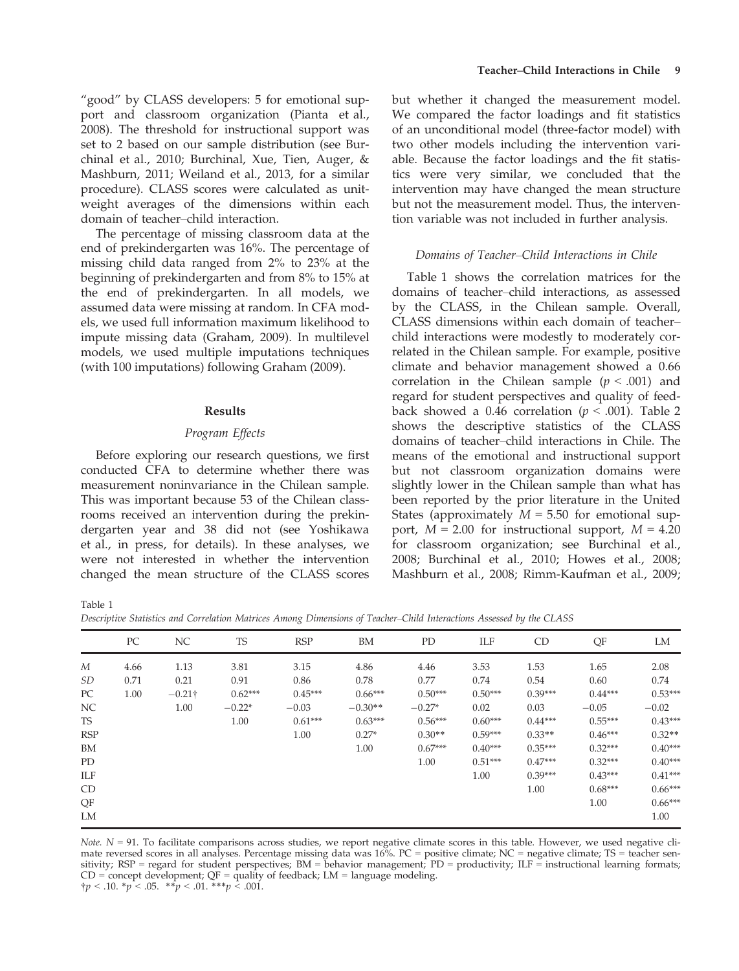"good" by CLASS developers: 5 for emotional support and classroom organization (Pianta et al., 2008). The threshold for instructional support was set to 2 based on our sample distribution (see Burchinal et al., 2010; Burchinal, Xue, Tien, Auger, & Mashburn, 2011; Weiland et al., 2013, for a similar procedure). CLASS scores were calculated as unitweight averages of the dimensions within each domain of teacher–child interaction.

The percentage of missing classroom data at the end of prekindergarten was 16%. The percentage of missing child data ranged from 2% to 23% at the beginning of prekindergarten and from 8% to 15% at the end of prekindergarten. In all models, we assumed data were missing at random. In CFA models, we used full information maximum likelihood to impute missing data (Graham, 2009). In multilevel models, we used multiple imputations techniques (with 100 imputations) following Graham (2009).

#### Results

#### Program Effects

Before exploring our research questions, we first conducted CFA to determine whether there was measurement noninvariance in the Chilean sample. This was important because 53 of the Chilean classrooms received an intervention during the prekindergarten year and 38 did not (see Yoshikawa et al., in press, for details). In these analyses, we were not interested in whether the intervention changed the mean structure of the CLASS scores

but whether it changed the measurement model. We compared the factor loadings and fit statistics of an unconditional model (three-factor model) with two other models including the intervention variable. Because the factor loadings and the fit statistics were very similar, we concluded that the intervention may have changed the mean structure but not the measurement model. Thus, the intervention variable was not included in further analysis.

#### Domains of Teacher–Child Interactions in Chile

Table 1 shows the correlation matrices for the domains of teacher–child interactions, as assessed by the CLASS, in the Chilean sample. Overall, CLASS dimensions within each domain of teacher– child interactions were modestly to moderately correlated in the Chilean sample. For example, positive climate and behavior management showed a 0.66 correlation in the Chilean sample  $(p < .001)$  and regard for student perspectives and quality of feedback showed a 0.46 correlation ( $p < .001$ ). Table 2 shows the descriptive statistics of the CLASS domains of teacher–child interactions in Chile. The means of the emotional and instructional support but not classroom organization domains were slightly lower in the Chilean sample than what has been reported by the prior literature in the United States (approximately  $M = 5.50$  for emotional support,  $M = 2.00$  for instructional support,  $M = 4.20$ for classroom organization; see Burchinal et al., 2008; Burchinal et al., 2010; Howes et al., 2008; Mashburn et al., 2008; Rimm-Kaufman et al., 2009;

Table 1

Descriptive Statistics and Correlation Matrices Among Dimensions of Teacher–Child Interactions Assessed by the CLASS

|            | PC   | NC.            | TS        | <b>RSP</b> | BM        | PD        | ILF       | C <sub>D</sub> | QF        | LM        |
|------------|------|----------------|-----------|------------|-----------|-----------|-----------|----------------|-----------|-----------|
| М          | 4.66 | 1.13           | 3.81      | 3.15       | 4.86      | 4.46      | 3.53      | 1.53           | 1.65      | 2.08      |
| SD         | 0.71 | 0.21           | 0.91      | 0.86       | 0.78      | 0.77      | 0.74      | 0.54           | 0.60      | 0.74      |
| PC         | 1.00 | $-0.21\dagger$ | $0.62***$ | $0.45***$  | $0.66***$ | $0.50***$ | $0.50***$ | $0.39***$      | $0.44***$ | $0.53***$ |
| NC         |      | 1.00           | $-0.22*$  | $-0.03$    | $-0.30**$ | $-0.27*$  | 0.02      | 0.03           | $-0.05$   | $-0.02$   |
| <b>TS</b>  |      |                | 1.00      | $0.61***$  | $0.63***$ | $0.56***$ | $0.60***$ | $0.44***$      | $0.55***$ | $0.43***$ |
| <b>RSP</b> |      |                |           | 1.00       | $0.27*$   | $0.30**$  | $0.59***$ | $0.33**$       | $0.46***$ | $0.32**$  |
| BM         |      |                |           |            | 1.00      | $0.67***$ | $0.40***$ | $0.35***$      | $0.32***$ | $0.40***$ |
| PD         |      |                |           |            |           | 1.00      | $0.51***$ | $0.47***$      | $0.32***$ | $0.40***$ |
| ILF        |      |                |           |            |           |           | 1.00      | $0.39***$      | $0.43***$ | $0.41***$ |
| CD         |      |                |           |            |           |           |           | 1.00           | $0.68***$ | $0.66***$ |
| QF         |      |                |           |            |           |           |           |                | 1.00      | $0.66***$ |
| LM         |      |                |           |            |           |           |           |                |           | 1.00      |

Note.  $N = 91$ . To facilitate comparisons across studies, we report negative climate scores in this table. However, we used negative climate reversed scores in all analyses. Percentage missing data was 16%. PC = positive climate; NC = negative climate; TS = teacher sensitivity;  $RSP =$  regard for student perspectives;  $BM =$  behavior management;  $PD =$  productivity;  $ILF =$  instructional learning formats;  $CD =$  concept development;  $QF =$  quality of feedback;  $LM =$  language modeling.  $\dagger p < .10.$  \* $p < .05.$  \*\* $p < .01.$  \*\*\* $p < .001.$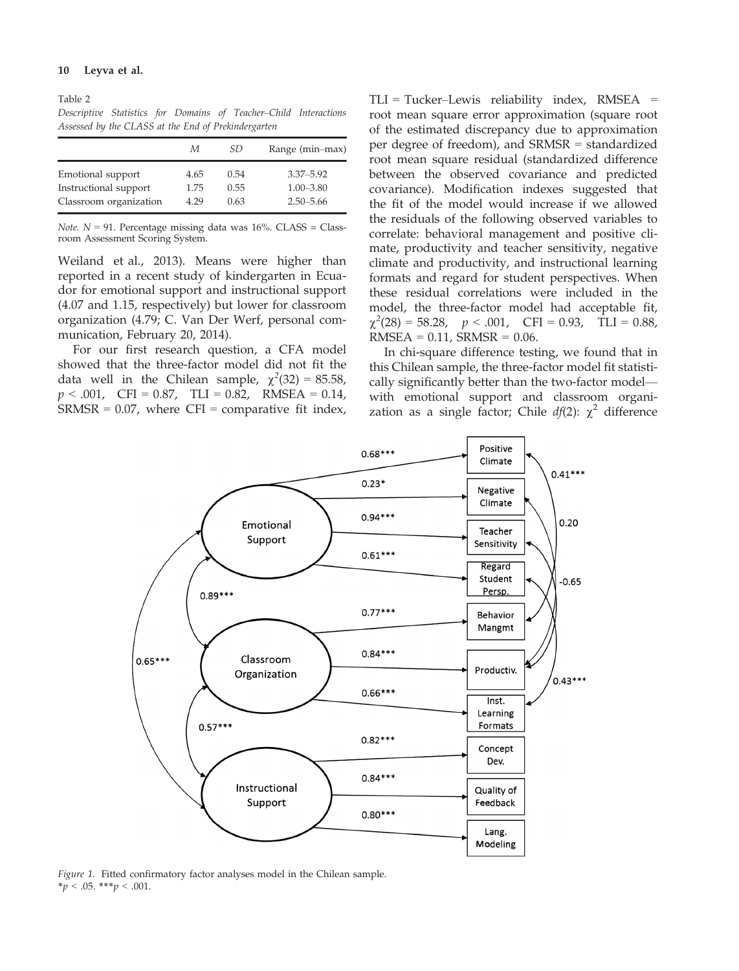Table 2 Descriptive Statistics for Domains of Teacher–Child Interactions Assessed by the CLASS at the End of Prekindergarten

|                                                 | М            | SD           | Range (min-max)                |
|-------------------------------------------------|--------------|--------------|--------------------------------|
| Emotional support                               | 4.65<br>1.75 | 0.54<br>0.55 | $3.37 - 5.92$<br>$1.00 - 3.80$ |
| Instructional support<br>Classroom organization | 4.29         | 0.63         | $2.50 - 5.66$                  |

Note.  $N = 91$ . Percentage missing data was 16%. CLASS = Classroom Assessment Scoring System.

Weiland et al., 2013). Means were higher than reported in a recent study of kindergarten in Ecuador for emotional support and instructional support (4.07 and 1.15, respectively) but lower for classroom organization (4.79; C. Van Der Werf, personal communication, February 20, 2014).

For our first research question, a CFA model showed that the three-factor model did not fit the data well in the Chilean sample,  $\chi^2(32) = 85.58$ ,  $p < .001$ , CFI = 0.87, TLI = 0.82, RMSEA = 0.14,  $SRMSR = 0.07$ , where  $CFI = \text{comparative fit index}$ ,  $TLI = Tucker–Lewis$  reliability index, RMSEA = root mean square error approximation (square root of the estimated discrepancy due to approximation per degree of freedom), and SRMSR = standardized root mean square residual (standardized difference between the observed covariance and predicted covariance). Modification indexes suggested that the fit of the model would increase if we allowed the residuals of the following observed variables to correlate: behavioral management and positive climate, productivity and teacher sensitivity, negative climate and productivity, and instructional learning formats and regard for student perspectives. When these residual correlations were included in the model, the three-factor model had acceptable fit,  $\chi^2(28) = 58.28$ ,  $p < .001$ , CFI = 0.93, TLI = 0.88,  $RMSEA = 0.11$ ,  $SRMSR = 0.06$ .

In chi-square difference testing, we found that in this Chilean sample, the three-factor model fit statistically significantly better than the two-factor model with emotional support and classroom organization as a single factor; Chile  $df(2)$ :  $\chi^2$  difference



Figure 1. Fitted confirmatory factor analyses model in the Chilean sample.  $*_p$  < .05. \*\*\*p < .001.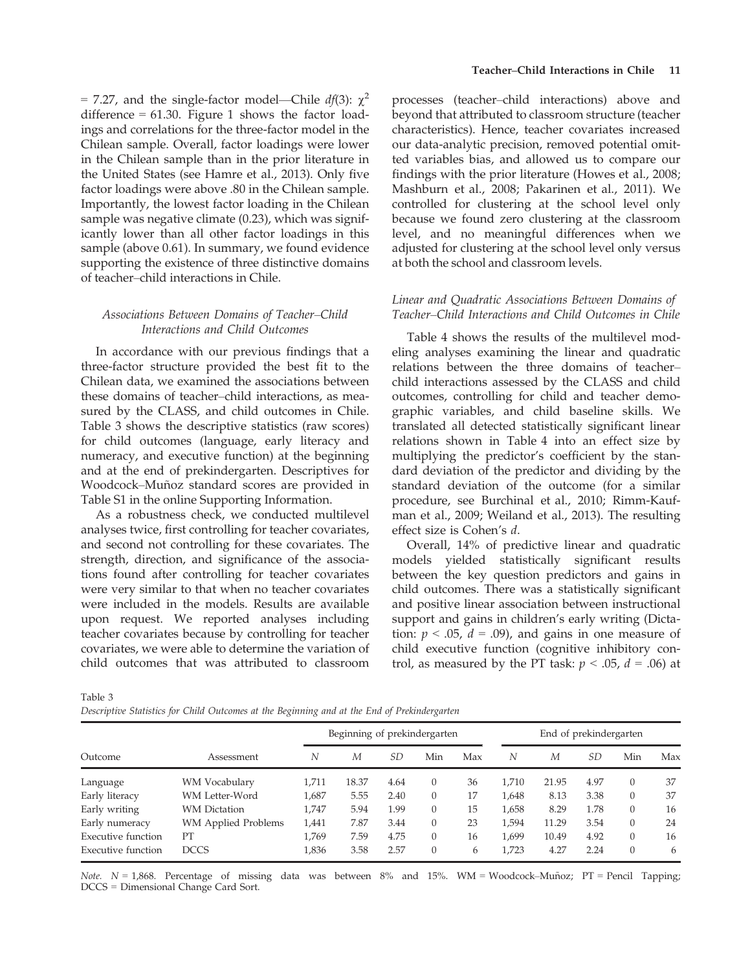= 7.27, and the single-factor model—Chile  $df(3)$ :  $\chi^2$ difference  $= 61.30$ . Figure 1 shows the factor loadings and correlations for the three-factor model in the Chilean sample. Overall, factor loadings were lower in the Chilean sample than in the prior literature in the United States (see Hamre et al., 2013). Only five factor loadings were above .80 in the Chilean sample. Importantly, the lowest factor loading in the Chilean sample was negative climate (0.23), which was significantly lower than all other factor loadings in this sample (above 0.61). In summary, we found evidence supporting the existence of three distinctive domains of teacher–child interactions in Chile.

## Associations Between Domains of Teacher–Child Interactions and Child Outcomes

In accordance with our previous findings that a three-factor structure provided the best fit to the Chilean data, we examined the associations between these domains of teacher–child interactions, as measured by the CLASS, and child outcomes in Chile. Table 3 shows the descriptive statistics (raw scores) for child outcomes (language, early literacy and numeracy, and executive function) at the beginning and at the end of prekindergarten. Descriptives for Woodcock–Munoz standard scores are provided in ~ Table S1 in the online Supporting Information.

As a robustness check, we conducted multilevel analyses twice, first controlling for teacher covariates, and second not controlling for these covariates. The strength, direction, and significance of the associations found after controlling for teacher covariates were very similar to that when no teacher covariates were included in the models. Results are available upon request. We reported analyses including teacher covariates because by controlling for teacher covariates, we were able to determine the variation of child outcomes that was attributed to classroom

processes (teacher–child interactions) above and beyond that attributed to classroom structure (teacher characteristics). Hence, teacher covariates increased our data-analytic precision, removed potential omitted variables bias, and allowed us to compare our findings with the prior literature (Howes et al., 2008; Mashburn et al., 2008; Pakarinen et al., 2011). We controlled for clustering at the school level only because we found zero clustering at the classroom level, and no meaningful differences when we adjusted for clustering at the school level only versus at both the school and classroom levels.

## Linear and Quadratic Associations Between Domains of Teacher–Child Interactions and Child Outcomes in Chile

Table 4 shows the results of the multilevel modeling analyses examining the linear and quadratic relations between the three domains of teacher– child interactions assessed by the CLASS and child outcomes, controlling for child and teacher demographic variables, and child baseline skills. We translated all detected statistically significant linear relations shown in Table 4 into an effect size by multiplying the predictor's coefficient by the standard deviation of the predictor and dividing by the standard deviation of the outcome (for a similar procedure, see Burchinal et al., 2010; Rimm-Kaufman et al., 2009; Weiland et al., 2013). The resulting effect size is Cohen's d.

Overall, 14% of predictive linear and quadratic models yielded statistically significant results between the key question predictors and gains in child outcomes. There was a statistically significant and positive linear association between instructional support and gains in children's early writing (Dictation:  $p < .05$ ,  $d = .09$ ), and gains in one measure of child executive function (cognitive inhibitory control, as measured by the PT task:  $p < .05$ ,  $d = .06$ ) at

Beginning of prekindergarten End of prekindergarten

N M SD Min Max N M SD Min Max

Table 3

Outcome Assessment

Descriptive Statistics for Child Outcomes at the Beginning and at the End of Prekindergarten

Note.  $N = 1,868$ . Percentage of missing data was between 8% and 15%. WM = Woodcock–Muñoz; PT = Pencil Tapping; DCCS = Dimensional Change Card Sort.

Language WM Vocabulary 1,711 18.37 4.64 0 36 1,710 21.95 4.97 0 37 Early literacy WM Letter-Word 1,687 5.55 2.40 0 17 1,648 8.13 3.38 0 37 Early writing WM Dictation 1,747 5.94 1.99 0 15 1,658 8.29 1.78 0 16 Early numeracy WM Applied Problems 1,441 7.87 3.44 0 23 1,594 11.29 3.54 0 24 Executive function PT 1,769 7.59 4.75 0 16 1,699 10.49 4.92 0 16 Executive function DCCS 1,836 3.58 2.57 0 6 1,723 4.27 2.24 0 6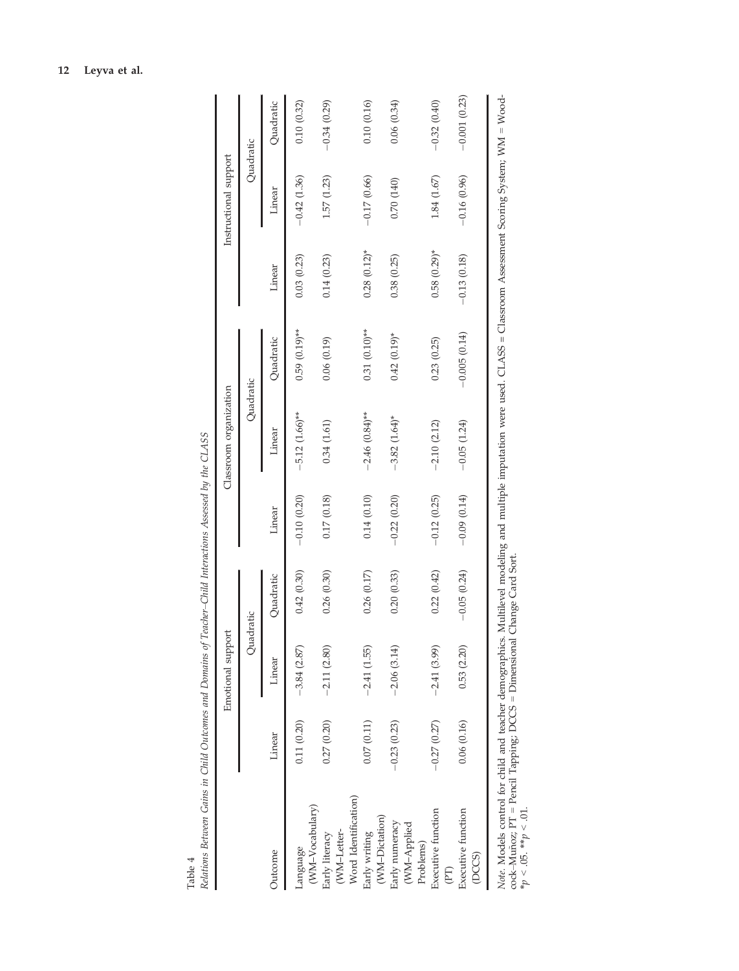|                                                                                                                                                                                                                                                                                   |               | Emotional support |               |               | Classroom organization |                 |                | Instructional support |                |
|-----------------------------------------------------------------------------------------------------------------------------------------------------------------------------------------------------------------------------------------------------------------------------------|---------------|-------------------|---------------|---------------|------------------------|-----------------|----------------|-----------------------|----------------|
|                                                                                                                                                                                                                                                                                   |               | Quadratic         |               |               | Quadratic              |                 |                | Quadratic             |                |
| Outcome                                                                                                                                                                                                                                                                           | Linear        | Linear            | Quadratic     | Linear        | Linear                 | Quadratic       | Linear         | Linear                | Quadratic      |
| (WM-Vocabulary)<br>Language                                                                                                                                                                                                                                                       | 0.11(0.20)    | $-3.84(2.87)$     | 0.42(0.30)    | $-0.10(0.20)$ | $-5.12(1.66)$ **       | $0.59(0.19)$ ** | 0.03(0.23)     | $-0.42(1.36)$         | 0.10(0.32)     |
| (WM-Letter-<br>Early literacy                                                                                                                                                                                                                                                     | 0.27(0.20)    | $-2.11(2.80)$     | 0.26(0.30)    | 0.17(0.18)    | 0.34(1.61)             | 0.06(0.19)      | 0.14(0.23)     | 1.57(1.23)            | $-0.34(0.29)$  |
| Word Identification)<br>(WM-Dictation)<br>Early writing                                                                                                                                                                                                                           | 0.07(0.11)    | $-2.41(1.55)$     | 0.26(0.17)    | 0.14(0.10)    | $-2.46(0.84)$ **       | $0.31(0.10)$ ** | $0.28(0.12)^*$ | $-0.17(0.66)$         | 0.10(0.16)     |
| Early numeracy<br>(WM-Applied<br>Problems)                                                                                                                                                                                                                                        | $-0.23(0.23)$ | $-2.06(3.14)$     | 0.20(0.33)    | $-0.22(0.20)$ | $-3.82(1.64)^{*}$      | $0.42(0.19)$ *  | 0.38(0.25)     | 0.70 (140)            | 0.06(0.34)     |
| Executive function<br>$(\mathbb{P}\Gamma)$                                                                                                                                                                                                                                        | $-0.27(0.27)$ | $-2.41(3.99)$     | 0.22(0.42)    | $-0.12(0.25)$ | $-2.10(2.12)$          | 0.23(0.25)      | $0.58(0.29)$ * | 1.84(1.67)            | $-0.32(0.40)$  |
| Executive function<br>(DCCS)                                                                                                                                                                                                                                                      | 0.06(0.16)    | 0.53(2.20)        | $-0.05(0.24)$ | $-0.09(0.14)$ | $-0.05(1.24)$          | $-0.005(0.14)$  | $-0.13(0.18)$  | $-0.16(0.96)$         | $-0.001(0.23)$ |
| Note. Models control for child and teacher demographics. Multilevel modeling and multiple imputation were used. CLASS = Classroom Assessment Scoring System; WM = Wood-<br>cock-Muñoz; PT = Pencil Tapping; DCCS = Dimensional Change Card Sort.<br>* $p < 0.05$ , ** $p < 0.1$ . |               |                   |               |               |                        |                 |                |                       |                |

Table 4<br>Relations Between Gains in Child Outcomes and Domains of Teacher–Child Interactions Assessed by the CLASS Relations Between Gains in Child Outcomes and Domains of Teacher–Child Interactions Assessed by the CLASS

12 Leyva et al.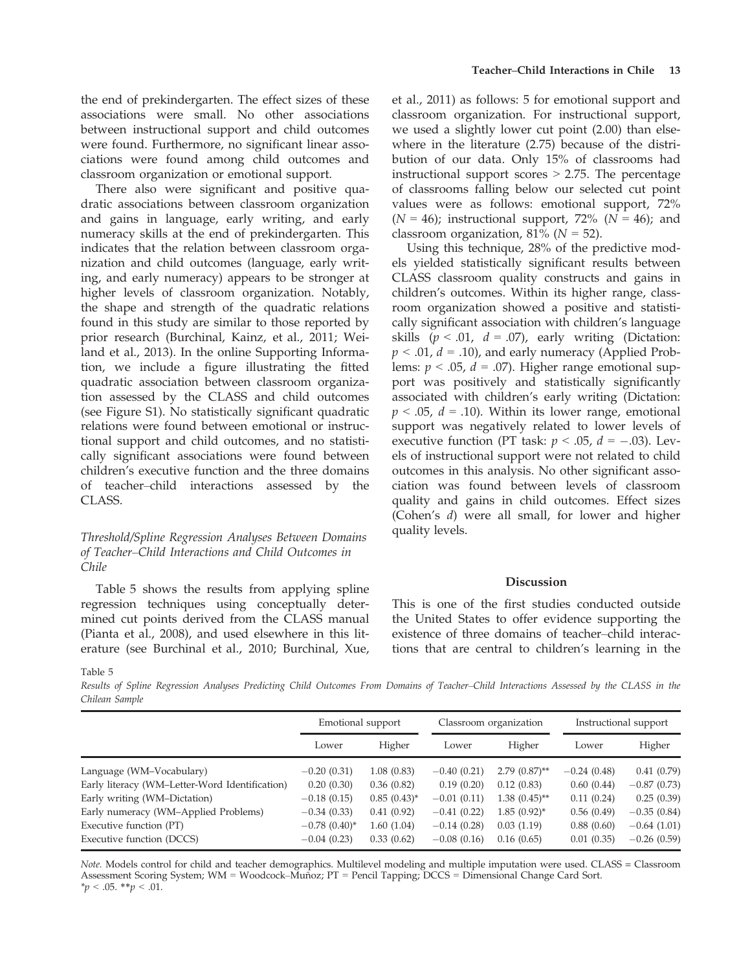the end of prekindergarten. The effect sizes of these associations were small. No other associations between instructional support and child outcomes were found. Furthermore, no significant linear associations were found among child outcomes and classroom organization or emotional support.

There also were significant and positive quadratic associations between classroom organization and gains in language, early writing, and early numeracy skills at the end of prekindergarten. This indicates that the relation between classroom organization and child outcomes (language, early writing, and early numeracy) appears to be stronger at higher levels of classroom organization. Notably, the shape and strength of the quadratic relations found in this study are similar to those reported by prior research (Burchinal, Kainz, et al., 2011; Weiland et al., 2013). In the online Supporting Information, we include a figure illustrating the fitted quadratic association between classroom organization assessed by the CLASS and child outcomes (see Figure S1). No statistically significant quadratic relations were found between emotional or instructional support and child outcomes, and no statistically significant associations were found between children's executive function and the three domains of teacher–child interactions assessed by the CLASS.

## Threshold/Spline Regression Analyses Between Domains of Teacher–Child Interactions and Child Outcomes in Chile

Table 5 shows the results from applying spline regression techniques using conceptually determined cut points derived from the CLASS manual (Pianta et al., 2008), and used elsewhere in this literature (see Burchinal et al., 2010; Burchinal, Xue, et al., 2011) as follows: 5 for emotional support and classroom organization. For instructional support, we used a slightly lower cut point (2.00) than elsewhere in the literature (2.75) because of the distribution of our data. Only 15% of classrooms had instructional support scores > 2.75. The percentage of classrooms falling below our selected cut point values were as follows: emotional support, 72%  $(N = 46)$ ; instructional support, 72%  $(N = 46)$ ; and classroom organization,  $81\%$  ( $N = 52$ ).

Using this technique, 28% of the predictive models yielded statistically significant results between CLASS classroom quality constructs and gains in children's outcomes. Within its higher range, classroom organization showed a positive and statistically significant association with children's language skills  $(p < .01, d = .07)$ , early writing (Dictation:  $p < .01$ ,  $d = .10$ ), and early numeracy (Applied Problems:  $p < .05$ ,  $d = .07$ ). Higher range emotional support was positively and statistically significantly associated with children's early writing (Dictation:  $p < .05$ ,  $d = .10$ ). Within its lower range, emotional support was negatively related to lower levels of executive function (PT task:  $p < .05$ ,  $d = -.03$ ). Levels of instructional support were not related to child outcomes in this analysis. No other significant association was found between levels of classroom quality and gains in child outcomes. Effect sizes (Cohen's d) were all small, for lower and higher quality levels.

## Discussion

This is one of the first studies conducted outside the United States to offer evidence supporting the existence of three domains of teacher–child interactions that are central to children's learning in the

Table 5

Results of Spline Regression Analyses Predicting Child Outcomes From Domains of Teacher–Child Interactions Assessed by the CLASS in the Chilean Sample

|                                                | Emotional support |                  | Classroom organization |                  | Instructional support |               |
|------------------------------------------------|-------------------|------------------|------------------------|------------------|-----------------------|---------------|
|                                                | Lower             | Higher           | Lower                  | Higher           | Lower                 | Higher        |
| Language (WM-Vocabulary)                       | $-0.20(0.31)$     | 1.08(0.83)       | $-0.40(0.21)$          | $2.79(0.87)$ **  | $-0.24(0.48)$         | 0.41(0.79)    |
| Early literacy (WM-Letter-Word Identification) | 0.20(0.30)        | 0.36(0.82)       | 0.19(0.20)             | 0.12(0.83)       | 0.60(0.44)            | $-0.87(0.73)$ |
| Early writing (WM-Dictation)                   | $-0.18(0.15)$     | $0.85(0.43)^{*}$ | $-0.01(0.11)$          | $1.38(0.45)$ **  | 0.11(0.24)            | 0.25(0.39)    |
| Early numeracy (WM-Applied Problems)           | $-0.34(0.33)$     | 0.41(0.92)       | $-0.41(0.22)$          | $1.85(0.92)^{*}$ | 0.56(0.49)            | $-0.35(0.84)$ |
| Executive function (PT)                        | $-0.78(0.40)$ *   | 1.60(1.04)       | $-0.14(0.28)$          | 0.03(1.19)       | 0.88(0.60)            | $-0.64(1.01)$ |
| Executive function (DCCS)                      | $-0.04(0.23)$     | 0.33(0.62)       | $-0.08(0.16)$          | 0.16(0.65)       | 0.01(0.35)            | $-0.26(0.59)$ |

Note. Models control for child and teacher demographics. Multilevel modeling and multiple imputation were used. CLASS = Classroom Assessment Scoring System; WM = Woodcock-Muñoz; PT = Pencil Tapping; DCCS = Dimensional Change Card Sort.  $*_p$  < .05. \*\*p < .01.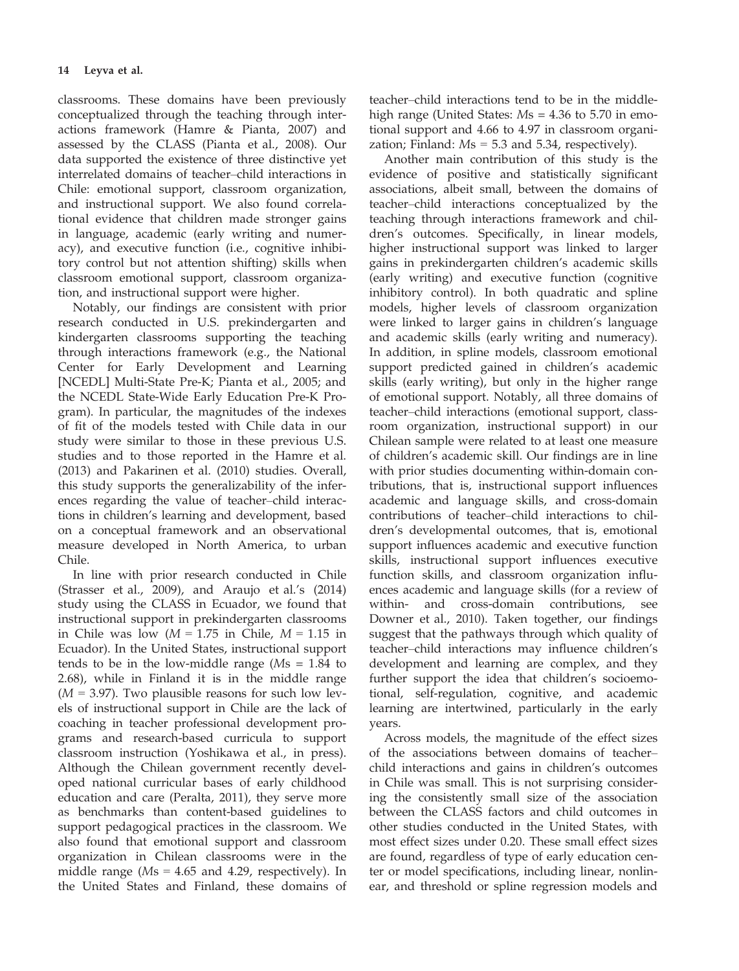classrooms. These domains have been previously conceptualized through the teaching through interactions framework (Hamre & Pianta, 2007) and assessed by the CLASS (Pianta et al., 2008). Our data supported the existence of three distinctive yet interrelated domains of teacher–child interactions in Chile: emotional support, classroom organization, and instructional support. We also found correlational evidence that children made stronger gains in language, academic (early writing and numeracy), and executive function (i.e., cognitive inhibitory control but not attention shifting) skills when classroom emotional support, classroom organization, and instructional support were higher.

Notably, our findings are consistent with prior research conducted in U.S. prekindergarten and kindergarten classrooms supporting the teaching through interactions framework (e.g., the National Center for Early Development and Learning [NCEDL] Multi-State Pre-K; Pianta et al., 2005; and the NCEDL State-Wide Early Education Pre-K Program). In particular, the magnitudes of the indexes of fit of the models tested with Chile data in our study were similar to those in these previous U.S. studies and to those reported in the Hamre et al. (2013) and Pakarinen et al. (2010) studies. Overall, this study supports the generalizability of the inferences regarding the value of teacher–child interactions in children's learning and development, based on a conceptual framework and an observational measure developed in North America, to urban Chile.

In line with prior research conducted in Chile (Strasser et al., 2009), and Araujo et al.'s (2014) study using the CLASS in Ecuador, we found that instructional support in prekindergarten classrooms in Chile was low  $(M = 1.75$  in Chile,  $M = 1.15$  in Ecuador). In the United States, instructional support tends to be in the low-middle range ( $Ms = 1.84$  to 2.68), while in Finland it is in the middle range  $(M = 3.97)$ . Two plausible reasons for such low levels of instructional support in Chile are the lack of coaching in teacher professional development programs and research-based curricula to support classroom instruction (Yoshikawa et al., in press). Although the Chilean government recently developed national curricular bases of early childhood education and care (Peralta, 2011), they serve more as benchmarks than content-based guidelines to support pedagogical practices in the classroom. We also found that emotional support and classroom organization in Chilean classrooms were in the middle range ( $Ms = 4.65$  and 4.29, respectively). In the United States and Finland, these domains of

teacher–child interactions tend to be in the middlehigh range (United States:  $Ms = 4.36$  to 5.70 in emotional support and 4.66 to 4.97 in classroom organization; Finland:  $Ms = 5.3$  and 5.34, respectively).

Another main contribution of this study is the evidence of positive and statistically significant associations, albeit small, between the domains of teacher–child interactions conceptualized by the teaching through interactions framework and children's outcomes. Specifically, in linear models, higher instructional support was linked to larger gains in prekindergarten children's academic skills (early writing) and executive function (cognitive inhibitory control). In both quadratic and spline models, higher levels of classroom organization were linked to larger gains in children's language and academic skills (early writing and numeracy). In addition, in spline models, classroom emotional support predicted gained in children's academic skills (early writing), but only in the higher range of emotional support. Notably, all three domains of teacher–child interactions (emotional support, classroom organization, instructional support) in our Chilean sample were related to at least one measure of children's academic skill. Our findings are in line with prior studies documenting within-domain contributions, that is, instructional support influences academic and language skills, and cross-domain contributions of teacher–child interactions to children's developmental outcomes, that is, emotional support influences academic and executive function skills, instructional support influences executive function skills, and classroom organization influences academic and language skills (for a review of within- and cross-domain contributions, see Downer et al., 2010). Taken together, our findings suggest that the pathways through which quality of teacher–child interactions may influence children's development and learning are complex, and they further support the idea that children's socioemotional, self-regulation, cognitive, and academic learning are intertwined, particularly in the early years.

Across models, the magnitude of the effect sizes of the associations between domains of teacher– child interactions and gains in children's outcomes in Chile was small. This is not surprising considering the consistently small size of the association between the CLASS factors and child outcomes in other studies conducted in the United States, with most effect sizes under 0.20. These small effect sizes are found, regardless of type of early education center or model specifications, including linear, nonlinear, and threshold or spline regression models and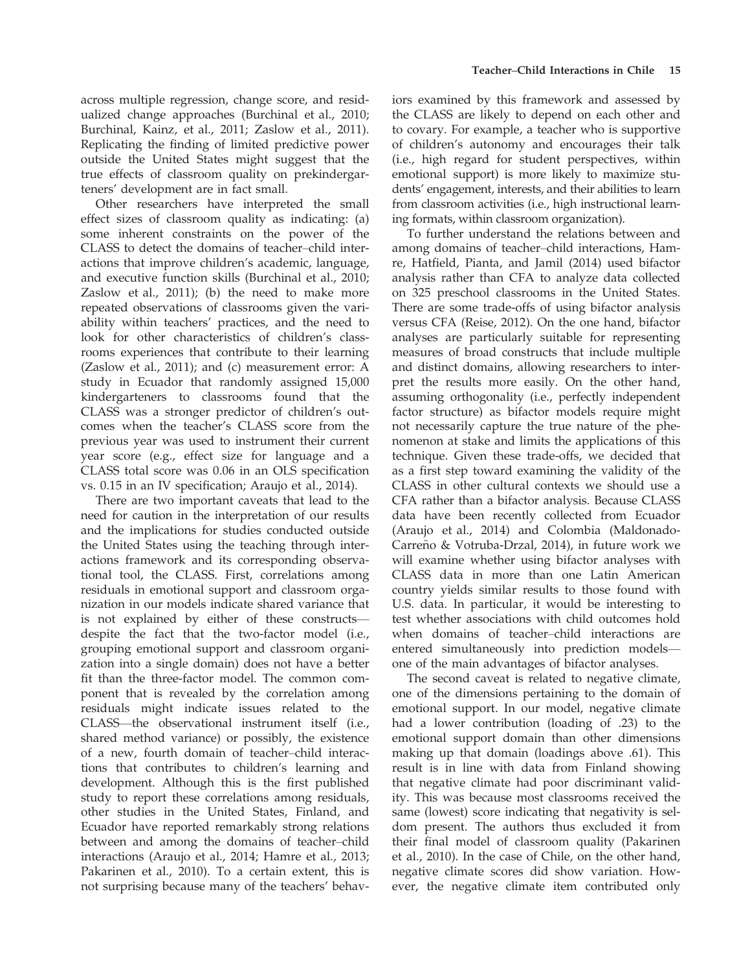across multiple regression, change score, and residualized change approaches (Burchinal et al., 2010; Burchinal, Kainz, et al., 2011; Zaslow et al., 2011). Replicating the finding of limited predictive power outside the United States might suggest that the true effects of classroom quality on prekindergarteners' development are in fact small.

Other researchers have interpreted the small effect sizes of classroom quality as indicating: (a) some inherent constraints on the power of the CLASS to detect the domains of teacher–child interactions that improve children's academic, language, and executive function skills (Burchinal et al., 2010; Zaslow et al., 2011); (b) the need to make more repeated observations of classrooms given the variability within teachers' practices, and the need to look for other characteristics of children's classrooms experiences that contribute to their learning (Zaslow et al., 2011); and (c) measurement error: A study in Ecuador that randomly assigned 15,000 kindergarteners to classrooms found that the CLASS was a stronger predictor of children's outcomes when the teacher's CLASS score from the previous year was used to instrument their current year score (e.g., effect size for language and a CLASS total score was 0.06 in an OLS specification vs. 0.15 in an IV specification; Araujo et al., 2014).

There are two important caveats that lead to the need for caution in the interpretation of our results and the implications for studies conducted outside the United States using the teaching through interactions framework and its corresponding observational tool, the CLASS. First, correlations among residuals in emotional support and classroom organization in our models indicate shared variance that is not explained by either of these constructs despite the fact that the two-factor model (i.e., grouping emotional support and classroom organization into a single domain) does not have a better fit than the three-factor model. The common component that is revealed by the correlation among residuals might indicate issues related to the CLASS—the observational instrument itself (i.e., shared method variance) or possibly, the existence of a new, fourth domain of teacher–child interactions that contributes to children's learning and development. Although this is the first published study to report these correlations among residuals, other studies in the United States, Finland, and Ecuador have reported remarkably strong relations between and among the domains of teacher–child interactions (Araujo et al., 2014; Hamre et al., 2013; Pakarinen et al., 2010). To a certain extent, this is not surprising because many of the teachers' behaviors examined by this framework and assessed by the CLASS are likely to depend on each other and to covary. For example, a teacher who is supportive of children's autonomy and encourages their talk (i.e., high regard for student perspectives, within emotional support) is more likely to maximize students' engagement, interests, and their abilities to learn from classroom activities (i.e., high instructional learning formats, within classroom organization).

To further understand the relations between and among domains of teacher–child interactions, Hamre, Hatfield, Pianta, and Jamil (2014) used bifactor analysis rather than CFA to analyze data collected on 325 preschool classrooms in the United States. There are some trade-offs of using bifactor analysis versus CFA (Reise, 2012). On the one hand, bifactor analyses are particularly suitable for representing measures of broad constructs that include multiple and distinct domains, allowing researchers to interpret the results more easily. On the other hand, assuming orthogonality (i.e., perfectly independent factor structure) as bifactor models require might not necessarily capture the true nature of the phenomenon at stake and limits the applications of this technique. Given these trade-offs, we decided that as a first step toward examining the validity of the CLASS in other cultural contexts we should use a CFA rather than a bifactor analysis. Because CLASS data have been recently collected from Ecuador (Araujo et al., 2014) and Colombia (Maldonado-Carreño & Votruba-Drzal, 2014), in future work we will examine whether using bifactor analyses with CLASS data in more than one Latin American country yields similar results to those found with U.S. data. In particular, it would be interesting to test whether associations with child outcomes hold when domains of teacher–child interactions are entered simultaneously into prediction models one of the main advantages of bifactor analyses.

The second caveat is related to negative climate, one of the dimensions pertaining to the domain of emotional support. In our model, negative climate had a lower contribution (loading of .23) to the emotional support domain than other dimensions making up that domain (loadings above .61). This result is in line with data from Finland showing that negative climate had poor discriminant validity. This was because most classrooms received the same (lowest) score indicating that negativity is seldom present. The authors thus excluded it from their final model of classroom quality (Pakarinen et al., 2010). In the case of Chile, on the other hand, negative climate scores did show variation. However, the negative climate item contributed only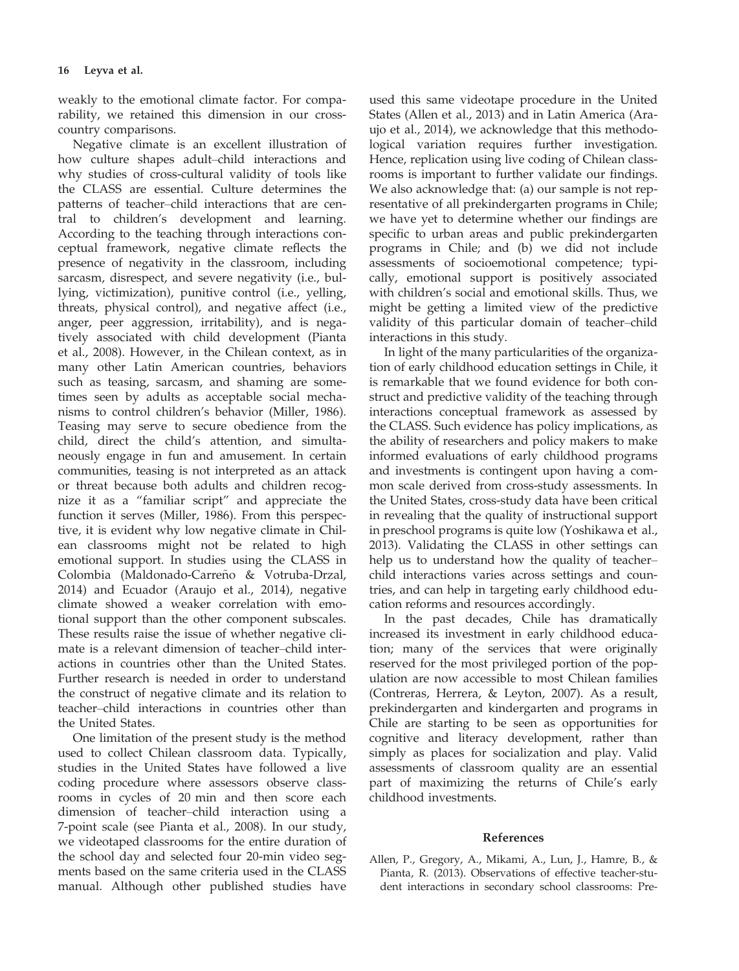weakly to the emotional climate factor. For comparability, we retained this dimension in our crosscountry comparisons.

Negative climate is an excellent illustration of how culture shapes adult–child interactions and why studies of cross-cultural validity of tools like the CLASS are essential. Culture determines the patterns of teacher–child interactions that are central to children's development and learning. According to the teaching through interactions conceptual framework, negative climate reflects the presence of negativity in the classroom, including sarcasm, disrespect, and severe negativity (i.e., bullying, victimization), punitive control (i.e., yelling, threats, physical control), and negative affect (i.e., anger, peer aggression, irritability), and is negatively associated with child development (Pianta et al., 2008). However, in the Chilean context, as in many other Latin American countries, behaviors such as teasing, sarcasm, and shaming are sometimes seen by adults as acceptable social mechanisms to control children's behavior (Miller, 1986). Teasing may serve to secure obedience from the child, direct the child's attention, and simultaneously engage in fun and amusement. In certain communities, teasing is not interpreted as an attack or threat because both adults and children recognize it as a "familiar script" and appreciate the function it serves (Miller, 1986). From this perspective, it is evident why low negative climate in Chilean classrooms might not be related to high emotional support. In studies using the CLASS in Colombia (Maldonado-Carreño & Votruba-Drzal, 2014) and Ecuador (Araujo et al., 2014), negative climate showed a weaker correlation with emotional support than the other component subscales. These results raise the issue of whether negative climate is a relevant dimension of teacher–child interactions in countries other than the United States. Further research is needed in order to understand the construct of negative climate and its relation to teacher–child interactions in countries other than the United States.

One limitation of the present study is the method used to collect Chilean classroom data. Typically, studies in the United States have followed a live coding procedure where assessors observe classrooms in cycles of 20 min and then score each dimension of teacher–child interaction using a 7-point scale (see Pianta et al., 2008). In our study, we videotaped classrooms for the entire duration of the school day and selected four 20-min video segments based on the same criteria used in the CLASS manual. Although other published studies have

used this same videotape procedure in the United States (Allen et al., 2013) and in Latin America (Araujo et al., 2014), we acknowledge that this methodological variation requires further investigation. Hence, replication using live coding of Chilean classrooms is important to further validate our findings. We also acknowledge that: (a) our sample is not representative of all prekindergarten programs in Chile; we have yet to determine whether our findings are specific to urban areas and public prekindergarten programs in Chile; and (b) we did not include assessments of socioemotional competence; typically, emotional support is positively associated with children's social and emotional skills. Thus, we might be getting a limited view of the predictive validity of this particular domain of teacher–child interactions in this study.

In light of the many particularities of the organization of early childhood education settings in Chile, it is remarkable that we found evidence for both construct and predictive validity of the teaching through interactions conceptual framework as assessed by the CLASS. Such evidence has policy implications, as the ability of researchers and policy makers to make informed evaluations of early childhood programs and investments is contingent upon having a common scale derived from cross-study assessments. In the United States, cross-study data have been critical in revealing that the quality of instructional support in preschool programs is quite low (Yoshikawa et al., 2013). Validating the CLASS in other settings can help us to understand how the quality of teacher– child interactions varies across settings and countries, and can help in targeting early childhood education reforms and resources accordingly.

In the past decades, Chile has dramatically increased its investment in early childhood education; many of the services that were originally reserved for the most privileged portion of the population are now accessible to most Chilean families (Contreras, Herrera, & Leyton, 2007). As a result, prekindergarten and kindergarten and programs in Chile are starting to be seen as opportunities for cognitive and literacy development, rather than simply as places for socialization and play. Valid assessments of classroom quality are an essential part of maximizing the returns of Chile's early childhood investments.

#### References

Allen, P., Gregory, A., Mikami, A., Lun, J., Hamre, B., & Pianta, R. (2013). Observations of effective teacher-student interactions in secondary school classrooms: Pre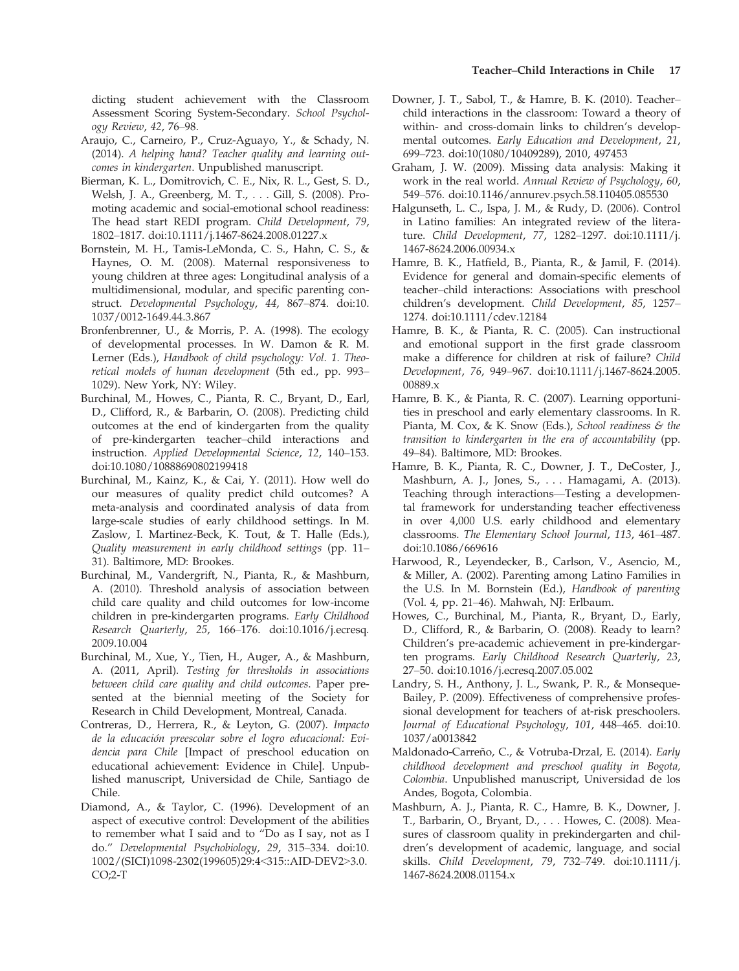dicting student achievement with the Classroom Assessment Scoring System-Secondary. School Psychology Review, 42, 76–98.

- Araujo, C., Carneiro, P., Cruz-Aguayo, Y., & Schady, N. (2014). A helping hand? Teacher quality and learning outcomes in kindergarten. Unpublished manuscript.
- Bierman, K. L., Domitrovich, C. E., Nix, R. L., Gest, S. D., Welsh, J. A., Greenberg, M. T., . . . Gill, S. (2008). Promoting academic and social-emotional school readiness: The head start REDI program. Child Development, 79, 1802–1817. doi:10.1111/j.1467-8624.2008.01227.x
- Bornstein, M. H., Tamis-LeMonda, C. S., Hahn, C. S., & Haynes, O. M. (2008). Maternal responsiveness to young children at three ages: Longitudinal analysis of a multidimensional, modular, and specific parenting construct. Developmental Psychology, 44, 867–874. doi:10. 1037/0012-1649.44.3.867
- Bronfenbrenner, U., & Morris, P. A. (1998). The ecology of developmental processes. In W. Damon & R. M. Lerner (Eds.), Handbook of child psychology: Vol. 1. Theoretical models of human development (5th ed., pp. 993– 1029). New York, NY: Wiley.
- Burchinal, M., Howes, C., Pianta, R. C., Bryant, D., Earl, D., Clifford, R., & Barbarin, O. (2008). Predicting child outcomes at the end of kindergarten from the quality of pre-kindergarten teacher–child interactions and instruction. Applied Developmental Science, 12, 140–153. doi:10.1080/10888690802199418
- Burchinal, M., Kainz, K., & Cai, Y. (2011). How well do our measures of quality predict child outcomes? A meta-analysis and coordinated analysis of data from large-scale studies of early childhood settings. In M. Zaslow, I. Martinez-Beck, K. Tout, & T. Halle (Eds.), Quality measurement in early childhood settings (pp. 11– 31). Baltimore, MD: Brookes.
- Burchinal, M., Vandergrift, N., Pianta, R., & Mashburn, A. (2010). Threshold analysis of association between child care quality and child outcomes for low-income children in pre-kindergarten programs. Early Childhood Research Quarterly, 25, 166–176. doi:10.1016/j.ecresq. 2009.10.004
- Burchinal, M., Xue, Y., Tien, H., Auger, A., & Mashburn, A. (2011, April). Testing for thresholds in associations between child care quality and child outcomes. Paper presented at the biennial meeting of the Society for Research in Child Development, Montreal, Canada.
- Contreras, D., Herrera, R., & Leyton, G. (2007). Impacto de la educacion preescolar sobre el logro educacional: Evidencia para Chile [Impact of preschool education on educational achievement: Evidence in Chile]. Unpublished manuscript, Universidad de Chile, Santiago de Chile.
- Diamond, A., & Taylor, C. (1996). Development of an aspect of executive control: Development of the abilities to remember what I said and to "Do as I say, not as I do." Developmental Psychobiology, 29, 315–334. doi:10. 1002/(SICI)1098-2302(199605)29:4<315::AID-DEV2>3.0. CO;2-T
- Downer, J. T., Sabol, T., & Hamre, B. K. (2010). Teacher– child interactions in the classroom: Toward a theory of within- and cross-domain links to children's developmental outcomes. Early Education and Development, 21, 699–723. doi:10(1080/10409289), 2010, 497453
- Graham, J. W. (2009). Missing data analysis: Making it work in the real world. Annual Review of Psychology, 60, 549–576. doi:10.1146/annurev.psych.58.110405.085530
- Halgunseth, L. C., Ispa, J. M., & Rudy, D. (2006). Control in Latino families: An integrated review of the literature. Child Development, 77, 1282–1297. doi:10.1111/j. 1467-8624.2006.00934.x
- Hamre, B. K., Hatfield, B., Pianta, R., & Jamil, F. (2014). Evidence for general and domain-specific elements of teacher–child interactions: Associations with preschool children's development. Child Development, 85, 1257– 1274. doi:10.1111/cdev.12184
- Hamre, B. K., & Pianta, R. C. (2005). Can instructional and emotional support in the first grade classroom make a difference for children at risk of failure? Child Development, 76, 949–967. doi:10.1111/j.1467-8624.2005. 00889.x
- Hamre, B. K., & Pianta, R. C. (2007). Learning opportunities in preschool and early elementary classrooms. In R. Pianta, M. Cox, & K. Snow (Eds.), School readiness & the transition to kindergarten in the era of accountability (pp. 49–84). Baltimore, MD: Brookes.
- Hamre, B. K., Pianta, R. C., Downer, J. T., DeCoster, J., Mashburn, A. J., Jones, S., . . . Hamagami, A. (2013). Teaching through interactions—Testing a developmental framework for understanding teacher effectiveness in over 4,000 U.S. early childhood and elementary classrooms. The Elementary School Journal, 113, 461–487. doi:10.1086/669616
- Harwood, R., Leyendecker, B., Carlson, V., Asencio, M., & Miller, A. (2002). Parenting among Latino Families in the U.S. In M. Bornstein (Ed.), Handbook of parenting (Vol. 4, pp. 21–46). Mahwah, NJ: Erlbaum.
- Howes, C., Burchinal, M., Pianta, R., Bryant, D., Early, D., Clifford, R., & Barbarin, O. (2008). Ready to learn? Children's pre-academic achievement in pre-kindergarten programs. Early Childhood Research Quarterly, 23, 27–50. doi:10.1016/j.ecresq.2007.05.002
- Landry, S. H., Anthony, J. L., Swank, P. R., & Monseque-Bailey, P. (2009). Effectiveness of comprehensive professional development for teachers of at-risk preschoolers. Journal of Educational Psychology, 101, 448–465. doi:10. 1037/a0013842
- Maldonado-Carreño, C., & Votruba-Drzal, E. (2014). Early childhood development and preschool quality in Bogota, Colombia. Unpublished manuscript, Universidad de los Andes, Bogota, Colombia.
- Mashburn, A. J., Pianta, R. C., Hamre, B. K., Downer, J. T., Barbarin, O., Bryant, D., . . . Howes, C. (2008). Measures of classroom quality in prekindergarten and children's development of academic, language, and social skills. Child Development, 79, 732–749. doi:10.1111/j. 1467-8624.2008.01154.x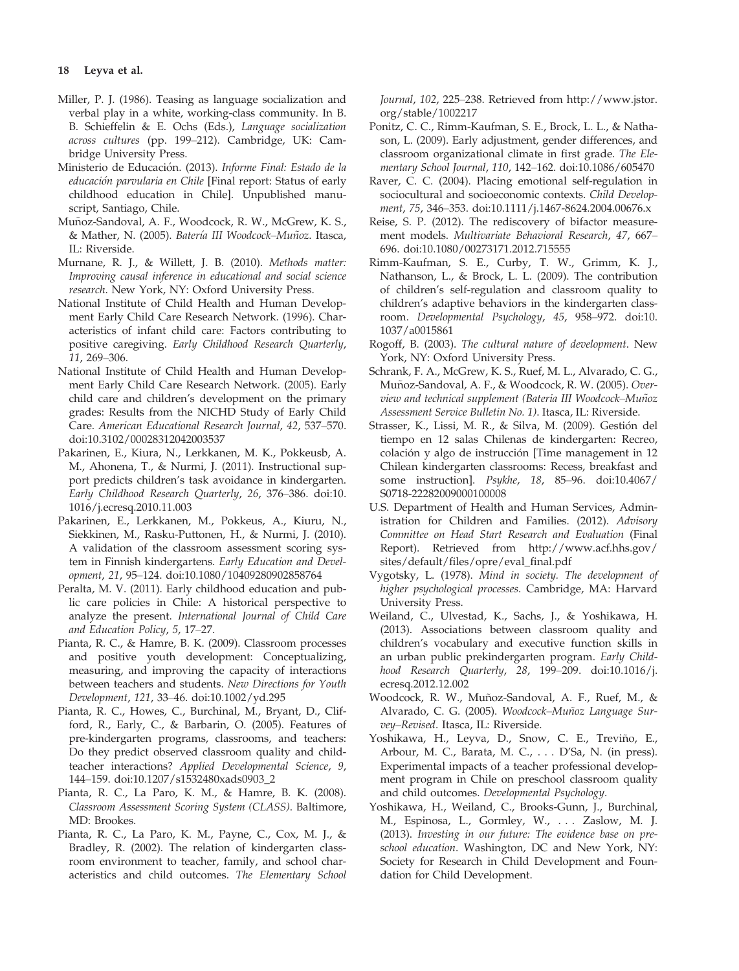- Miller, P. J. (1986). Teasing as language socialization and verbal play in a white, working-class community. In B. B. Schieffelin & E. Ochs (Eds.), Language socialization across cultures (pp. 199–212). Cambridge, UK: Cambridge University Press.
- Ministerio de Educación. (2013). *Informe Final: Estado de la* educación parvularia en Chile [Final report: Status of early childhood education in Chile]. Unpublished manuscript, Santiago, Chile.
- Muñoz-Sandoval, A. F., Woodcock, R. W., McGrew, K. S., & Mather, N. (2005). Batería III Woodcock-Muñoz. Itasca, IL: Riverside.
- Murnane, R. J., & Willett, J. B. (2010). Methods matter: Improving causal inference in educational and social science research. New York, NY: Oxford University Press.
- National Institute of Child Health and Human Development Early Child Care Research Network. (1996). Characteristics of infant child care: Factors contributing to positive caregiving. Early Childhood Research Quarterly, 11, 269–306.
- National Institute of Child Health and Human Development Early Child Care Research Network. (2005). Early child care and children's development on the primary grades: Results from the NICHD Study of Early Child Care. American Educational Research Journal, 42, 537–570. doi:10.3102/00028312042003537
- Pakarinen, E., Kiura, N., Lerkkanen, M. K., Pokkeusb, A. M., Ahonena, T., & Nurmi, J. (2011). Instructional support predicts children's task avoidance in kindergarten. Early Childhood Research Quarterly, 26, 376–386. doi:10. 1016/j.ecresq.2010.11.003
- Pakarinen, E., Lerkkanen, M., Pokkeus, A., Kiuru, N., Siekkinen, M., Rasku-Puttonen, H., & Nurmi, J. (2010). A validation of the classroom assessment scoring system in Finnish kindergartens. Early Education and Development, 21, 95–124. doi:10.1080/10409280902858764
- Peralta, M. V. (2011). Early childhood education and public care policies in Chile: A historical perspective to analyze the present. International Journal of Child Care and Education Policy, 5, 17–27.
- Pianta, R. C., & Hamre, B. K. (2009). Classroom processes and positive youth development: Conceptualizing, measuring, and improving the capacity of interactions between teachers and students. New Directions for Youth Development, 121, 33–46. doi:10.1002/yd.295
- Pianta, R. C., Howes, C., Burchinal, M., Bryant, D., Clifford, R., Early, C., & Barbarin, O. (2005). Features of pre-kindergarten programs, classrooms, and teachers: Do they predict observed classroom quality and childteacher interactions? Applied Developmental Science, 9, 144–159. doi:10.1207/s1532480xads0903\_2
- Pianta, R. C., La Paro, K. M., & Hamre, B. K. (2008). Classroom Assessment Scoring System (CLASS). Baltimore, MD: Brookes.
- Pianta, R. C., La Paro, K. M., Payne, C., Cox, M. J., & Bradley, R. (2002). The relation of kindergarten classroom environment to teacher, family, and school characteristics and child outcomes. The Elementary School

Journal, 102, 225–238. Retrieved from http://www.jstor. org/stable/1002217

- Ponitz, C. C., Rimm-Kaufman, S. E., Brock, L. L., & Nathason, L. (2009). Early adjustment, gender differences, and classroom organizational climate in first grade. The Elementary School Journal, 110, 142–162. doi:10.1086/605470
- Raver, C. C. (2004). Placing emotional self-regulation in sociocultural and socioeconomic contexts. Child Development, 75, 346–353. doi:10.1111/j.1467-8624.2004.00676.x
- Reise, S. P. (2012). The rediscovery of bifactor measurement models. Multivariate Behavioral Research, 47, 667– 696. doi:10.1080/00273171.2012.715555
- Rimm-Kaufman, S. E., Curby, T. W., Grimm, K. J., Nathanson, L., & Brock, L. L. (2009). The contribution of children's self-regulation and classroom quality to children's adaptive behaviors in the kindergarten classroom. Developmental Psychology, 45, 958–972. doi:10. 1037/a0015861
- Rogoff, B. (2003). The cultural nature of development. New York, NY: Oxford University Press.
- Schrank, F. A., McGrew, K. S., Ruef, M. L., Alvarado, C. G., Muñoz-Sandoval, A. F., & Woodcock, R. W. (2005). Overview and technical supplement (Bateria III Woodcock-Muñoz Assessment Service Bulletin No. 1). Itasca, IL: Riverside.
- Strasser, K., Lissi, M. R., & Silva, M. (2009). Gestión del tiempo en 12 salas Chilenas de kindergarten: Recreo, colación y algo de instrucción [Time management in 12 Chilean kindergarten classrooms: Recess, breakfast and some instruction]. Psykhe, 18, 85–96. doi:10.4067/ S0718-22282009000100008
- U.S. Department of Health and Human Services, Administration for Children and Families. (2012). Advisory Committee on Head Start Research and Evaluation (Final Report). Retrieved from http://www.acf.hhs.gov/ sites/default/files/opre/eval\_final.pdf
- Vygotsky, L. (1978). Mind in society. The development of higher psychological processes. Cambridge, MA: Harvard University Press.
- Weiland, C., Ulvestad, K., Sachs, J., & Yoshikawa, H. (2013). Associations between classroom quality and children's vocabulary and executive function skills in an urban public prekindergarten program. Early Childhood Research Quarterly, 28, 199–209. doi:10.1016/j. ecresq.2012.12.002
- Woodcock, R. W., Muñoz-Sandoval, A. F., Ruef, M., & Alvarado, C. G. (2005). Woodcock-Muñoz Language Survey–Revised. Itasca, IL: Riverside.
- Yoshikawa, H., Leyva, D., Snow, C. E., Treviño, E., Arbour, M. C., Barata, M. C., . . . D'Sa, N. (in press). Experimental impacts of a teacher professional development program in Chile on preschool classroom quality and child outcomes. Developmental Psychology.
- Yoshikawa, H., Weiland, C., Brooks-Gunn, J., Burchinal, M., Espinosa, L., Gormley, W., . . . Zaslow, M. J. (2013). Investing in our future: The evidence base on preschool education. Washington, DC and New York, NY: Society for Research in Child Development and Foundation for Child Development.